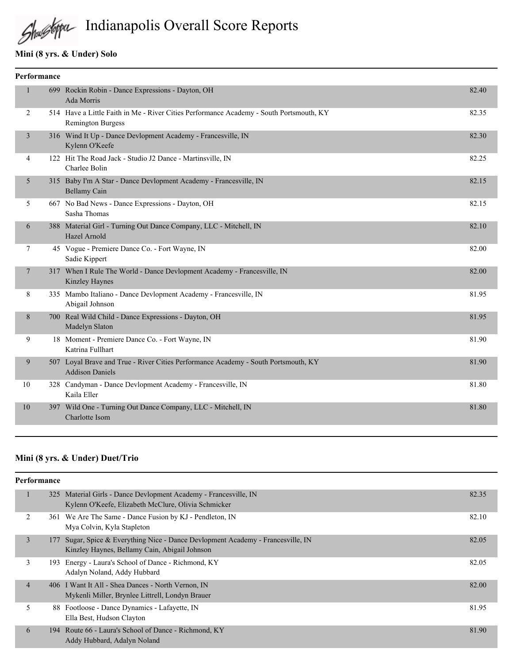

# Shustopa Indianapolis Overall Score Reports

## **Mini (8 yrs. & Under) Solo**

| Performance |                |  |                                                                                                                     |       |  |  |
|-------------|----------------|--|---------------------------------------------------------------------------------------------------------------------|-------|--|--|
|             |                |  | 699 Rockin Robin - Dance Expressions - Dayton, OH<br>Ada Morris                                                     | 82.40 |  |  |
|             | 2              |  | 514 Have a Little Faith in Me - River Cities Performance Academy - South Portsmouth, KY<br><b>Remington Burgess</b> | 82.35 |  |  |
|             | 3              |  | 316 Wind It Up - Dance Devlopment Academy - Francesville, IN<br>Kylenn O'Keefe                                      | 82.30 |  |  |
|             | 4              |  | 122 Hit The Road Jack - Studio J2 Dance - Martinsville, IN<br>Charlee Bolin                                         | 82.25 |  |  |
|             | 5              |  | 315 Baby I'm A Star - Dance Devlopment Academy - Francesville, IN<br><b>Bellamy Cain</b>                            | 82.15 |  |  |
|             | 5              |  | 667 No Bad News - Dance Expressions - Dayton, OH<br>Sasha Thomas                                                    | 82.15 |  |  |
|             | 6              |  | 388 Material Girl - Turning Out Dance Company, LLC - Mitchell, IN<br>Hazel Arnold                                   | 82.10 |  |  |
|             | $\overline{7}$ |  | 45 Vogue - Premiere Dance Co. - Fort Wayne, IN<br>Sadie Kippert                                                     | 82.00 |  |  |
|             | 7              |  | 317 When I Rule The World - Dance Devlopment Academy - Francesville, IN<br>Kinzley Haynes                           | 82.00 |  |  |
|             | 8              |  | 335 Mambo Italiano - Dance Devlopment Academy - Francesville, IN<br>Abigail Johnson                                 | 81.95 |  |  |
|             | 8              |  | 700 Real Wild Child - Dance Expressions - Dayton, OH<br>Madelyn Slaton                                              | 81.95 |  |  |
|             | 9              |  | 18 Moment - Premiere Dance Co. - Fort Wayne, IN<br>Katrina Fullhart                                                 | 81.90 |  |  |
|             | 9              |  | 507 Loyal Brave and True - River Cities Performance Academy - South Portsmouth, KY<br><b>Addison Daniels</b>        | 81.90 |  |  |
|             | 10             |  | 328 Candyman - Dance Devlopment Academy - Francesville, IN<br>Kaila Eller                                           | 81.80 |  |  |
|             | 10             |  | 397 Wild One - Turning Out Dance Company, LLC - Mitchell, IN<br>Charlotte Isom                                      | 81.80 |  |  |
|             |                |  |                                                                                                                     |       |  |  |

## **Mini (8 yrs. & Under) Duet/Trio**

| <b>Performance</b> |     |                                                                                                                               |       |  |  |
|--------------------|-----|-------------------------------------------------------------------------------------------------------------------------------|-------|--|--|
|                    |     | 325 Material Girls - Dance Devlopment Academy - Francesville, IN<br>Kylenn O'Keefe, Elizabeth McClure, Olivia Schmicker       | 82.35 |  |  |
| 2                  | 361 | We Are The Same - Dance Fusion by KJ - Pendleton, IN<br>Mya Colvin, Kyla Stapleton                                            | 82.10 |  |  |
| $\overline{3}$     | 177 | Sugar, Spice & Everything Nice - Dance Devlopment Academy - Francesville, IN<br>Kinzley Haynes, Bellamy Cain, Abigail Johnson | 82.05 |  |  |
| 3                  | 193 | Energy - Laura's School of Dance - Richmond, KY<br>Adalyn Noland, Addy Hubbard                                                | 82.05 |  |  |
| $\overline{4}$     |     | 406 I Want It All - Shea Dances - North Vernon, IN<br>Mykenli Miller, Brynlee Littrell, Londyn Brauer                         | 82.00 |  |  |
| 5                  |     | 88 Footloose - Dance Dynamics - Lafayette, IN<br>Ella Best, Hudson Clayton                                                    | 81.95 |  |  |
| 6                  |     | 194 Route 66 - Laura's School of Dance - Richmond, KY<br>Addy Hubbard, Adalyn Noland                                          | 81.90 |  |  |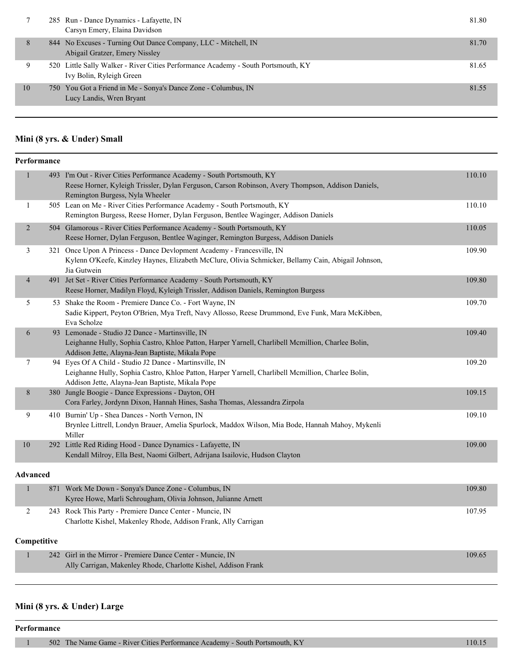|    | 285 Run - Dance Dynamics - Lafayette, IN<br>Carsyn Emery, Elaina Davidson                                     | 81.80 |
|----|---------------------------------------------------------------------------------------------------------------|-------|
| 8  | 844 No Excuses - Turning Out Dance Company, LLC - Mitchell, IN<br>Abigail Gratzer, Emery Nissley              | 81.70 |
| 9  | 520 Little Sally Walker - River Cities Performance Academy - South Portsmouth, KY<br>Ivy Bolin, Ryleigh Green | 81.65 |
| 10 | 750 You Got a Friend in Me - Sonya's Dance Zone - Columbus, IN<br>Lucy Landis, Wren Bryant                    | 81.55 |
|    |                                                                                                               |       |

## **Mini (8 yrs. & Under) Small**

|                | Performance     |                                                                                                                                                                                                                   |        |
|----------------|-----------------|-------------------------------------------------------------------------------------------------------------------------------------------------------------------------------------------------------------------|--------|
| $\mathbf{1}$   |                 | 493 I'm Out - River Cities Performance Academy - South Portsmouth, KY<br>Reese Horner, Kyleigh Trissler, Dylan Ferguson, Carson Robinson, Avery Thompson, Addison Daniels,<br>Remington Burgess, Nyla Wheeler     | 110.10 |
| 1              |                 | 505 Lean on Me - River Cities Performance Academy - South Portsmouth, KY<br>Remington Burgess, Reese Horner, Dylan Ferguson, Bentlee Waginger, Addison Daniels                                                    | 110.10 |
| $\overline{2}$ |                 | 504 Glamorous - River Cities Performance Academy - South Portsmouth, KY<br>Reese Horner, Dylan Ferguson, Bentlee Waginger, Remington Burgess, Addison Daniels                                                     | 110.05 |
| 3              |                 | 321 Once Upon A Princess - Dance Devlopment Academy - Francesville, IN<br>Kylenn O'Keefe, Kinzley Haynes, Elizabeth McClure, Olivia Schmicker, Bellamy Cain, Abigail Johnson,<br>Jia Gutwein                      | 109.90 |
| $\overline{4}$ |                 | 491 Jet Set - River Cities Performance Academy - South Portsmouth, KY<br>Reese Horner, Madilyn Floyd, Kyleigh Trissler, Addison Daniels, Remington Burgess                                                        | 109.80 |
| 5              |                 | 53 Shake the Room - Premiere Dance Co. - Fort Wayne, IN<br>Sadie Kippert, Peyton O'Brien, Mya Treft, Navy Allosso, Reese Drummond, Eve Funk, Mara McKibben,<br>Eva Scholze                                        | 109.70 |
| 6              |                 | 93 Lemonade - Studio J2 Dance - Martinsville, IN<br>Leighanne Hully, Sophia Castro, Khloe Patton, Harper Yarnell, Charlibell Mcmillion, Charlee Bolin,<br>Addison Jette, Alayna-Jean Baptiste, Mikala Pope        | 109.40 |
| 7              |                 | 94 Eyes Of A Child - Studio J2 Dance - Martinsville, IN<br>Leighanne Hully, Sophia Castro, Khloe Patton, Harper Yarnell, Charlibell Mcmillion, Charlee Bolin,<br>Addison Jette, Alayna-Jean Baptiste, Mikala Pope | 109.20 |
| 8              |                 | 380 Jungle Boogie - Dance Expressions - Dayton, OH<br>Cora Farley, Jordynn Dixon, Hannah Hines, Sasha Thomas, Alessandra Zirpola                                                                                  | 109.15 |
| 9              |                 | 410 Burnin' Up - Shea Dances - North Vernon, IN<br>Brynlee Littrell, Londyn Brauer, Amelia Spurlock, Maddox Wilson, Mia Bode, Hannah Mahoy, Mykenli<br>Miller                                                     | 109.10 |
| 10             |                 | 292 Little Red Riding Hood - Dance Dynamics - Lafayette, IN<br>Kendall Milroy, Ella Best, Naomi Gilbert, Adrijana Isailovic, Hudson Clayton                                                                       | 109.00 |
|                | <b>Advanced</b> |                                                                                                                                                                                                                   |        |
| $\mathbf{1}$   |                 | 871 Work Me Down - Sonya's Dance Zone - Columbus, IN<br>Kyree Howe, Marli Schrougham, Olivia Johnson, Julianne Arnett                                                                                             | 109.80 |
| 2              |                 | 243 Rock This Party - Premiere Dance Center - Muncie, IN<br>Charlotte Kishel, Makenley Rhode, Addison Frank, Ally Carrigan                                                                                        | 107.95 |
|                | Competitive     |                                                                                                                                                                                                                   |        |
| $\mathbf{1}$   |                 | 242 Girl in the Mirror - Premiere Dance Center - Muncie, IN<br>Ally Carrigan, Makenley Rhode, Charlotte Kishel, Addison Frank                                                                                     | 109.65 |
|                |                 |                                                                                                                                                                                                                   |        |

## **Mini (8 yrs. & Under) Large**

#### **Performance**

1 502 The Name Game - River Cities Performance Academy - South Portsmouth, KY 110.15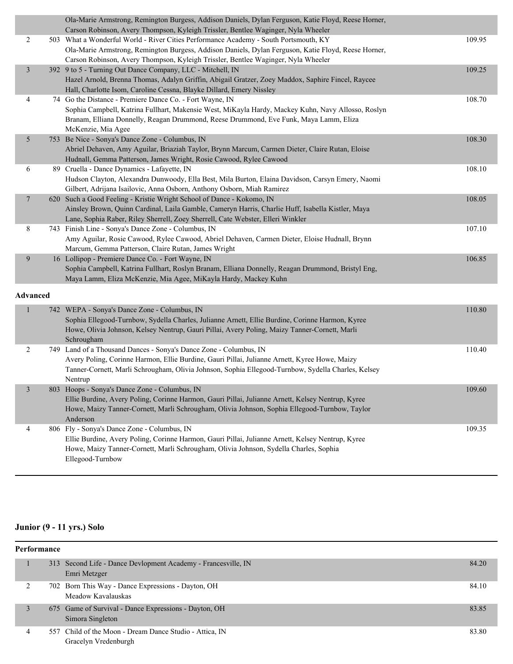|                 | Ola-Marie Armstrong, Remington Burgess, Addison Daniels, Dylan Ferguson, Katie Floyd, Reese Horner,<br>Carson Robinson, Avery Thompson, Kyleigh Trissler, Bentlee Waginger, Nyla Wheeler |        |
|-----------------|------------------------------------------------------------------------------------------------------------------------------------------------------------------------------------------|--------|
| 2               | 503 What a Wonderful World - River Cities Performance Academy - South Portsmouth, KY                                                                                                     | 109.95 |
|                 | Ola-Marie Armstrong, Remington Burgess, Addison Daniels, Dylan Ferguson, Katie Floyd, Reese Horner,                                                                                      |        |
|                 | Carson Robinson, Avery Thompson, Kyleigh Trissler, Bentlee Waginger, Nyla Wheeler                                                                                                        |        |
| 3               | 392 9 to 5 - Turning Out Dance Company, LLC - Mitchell, IN                                                                                                                               | 109.25 |
|                 | Hazel Arnold, Brenna Thomas, Adalyn Griffin, Abigail Gratzer, Zoey Maddox, Saphire Fincel, Raycee                                                                                        |        |
|                 | Hall, Charlotte Isom, Caroline Cessna, Blayke Dillard, Emery Nissley                                                                                                                     |        |
| 4               | 74 Go the Distance - Premiere Dance Co. - Fort Wayne, IN                                                                                                                                 | 108.70 |
|                 | Sophia Campbell, Katrina Fullhart, Makensie West, MiKayla Hardy, Mackey Kuhn, Navy Allosso, Roslyn                                                                                       |        |
|                 | Branam, Elliana Donnelly, Reagan Drummond, Reese Drummond, Eve Funk, Maya Lamm, Eliza                                                                                                    |        |
|                 | McKenzie, Mia Agee                                                                                                                                                                       |        |
| 5               | 753 Be Nice - Sonya's Dance Zone - Columbus, IN                                                                                                                                          | 108.30 |
|                 | Abriel Dehaven, Amy Aguilar, Briaziah Taylor, Brynn Marcum, Carmen Dieter, Claire Rutan, Eloise                                                                                          |        |
|                 | Hudnall, Gemma Patterson, James Wright, Rosie Cawood, Rylee Cawood                                                                                                                       |        |
| 6               | 89 Cruella - Dance Dynamics - Lafayette, IN                                                                                                                                              | 108.10 |
|                 | Hudson Clayton, Alexandra Dunwoody, Ella Best, Mila Burton, Elaina Davidson, Carsyn Emery, Naomi                                                                                         |        |
|                 | Gilbert, Adrijana Isailovic, Anna Osborn, Anthony Osborn, Miah Ramirez                                                                                                                   |        |
| 7               | 620 Such a Good Feeling - Kristie Wright School of Dance - Kokomo, IN                                                                                                                    | 108.05 |
|                 | Ainsley Brown, Quinn Cardinal, Laila Gamble, Cameryn Harris, Charlie Huff, Isabella Kistler, Maya                                                                                        |        |
|                 | Lane, Sophia Raber, Riley Sherrell, Zoey Sherrell, Cate Webster, Elleri Winkler                                                                                                          |        |
| $8\,$           | 743 Finish Line - Sonya's Dance Zone - Columbus, IN                                                                                                                                      | 107.10 |
|                 | Amy Aguilar, Rosie Cawood, Rylee Cawood, Abriel Dehaven, Carmen Dieter, Eloise Hudnall, Brynn                                                                                            |        |
|                 | Marcum, Gemma Patterson, Claire Rutan, James Wright                                                                                                                                      |        |
| 9               | 16 Lollipop - Premiere Dance Co. - Fort Wayne, IN                                                                                                                                        | 106.85 |
|                 | Sophia Campbell, Katrina Fullhart, Roslyn Branam, Elliana Donnelly, Reagan Drummond, Bristyl Eng,<br>Maya Lamm, Eliza McKenzie, Mia Agee, MiKayla Hardy, Mackey Kuhn                     |        |
|                 |                                                                                                                                                                                          |        |
| <b>Advanced</b> |                                                                                                                                                                                          |        |
|                 | 742 WEPA - Sonya's Dance Zone - Columbus, IN                                                                                                                                             | 110.80 |
|                 | Sophia Ellegood-Turnbow, Sydella Charles, Julianne Arnett, Ellie Burdine, Corinne Harmon, Kyree                                                                                          |        |
|                 | Howe, Olivia Johnson, Kelsey Nentrup, Gauri Pillai, Avery Poling, Maizy Tanner-Cornett, Marli                                                                                            |        |
|                 | Schrougham                                                                                                                                                                               |        |
| 2               | 749 Land of a Thousand Dances - Sonya's Dance Zone - Columbus, IN                                                                                                                        | 110.40 |
|                 | Avery Poling, Corinne Harmon, Ellie Burdine, Gauri Pillai, Julianne Arnett, Kyree Howe, Maizy                                                                                            |        |
|                 | Tanner-Cornett, Marli Schrougham, Olivia Johnson, Sophia Ellegood-Turnbow, Sydella Charles, Kelsey                                                                                       |        |
|                 | Nentrup                                                                                                                                                                                  |        |
|                 | 803 Hoops - Sonya's Dance Zone - Columbus, IN                                                                                                                                            | 109.60 |
|                 | Ellie Burdine, Avery Poling, Corinne Harmon, Gauri Pillai, Julianne Arnett, Kelsey Nentrup, Kyree                                                                                        |        |
|                 | Howe, Maizy Tanner-Cornett, Marli Schrougham, Olivia Johnson, Sophia Ellegood-Turnbow, Taylor                                                                                            |        |
|                 | Anderson                                                                                                                                                                                 |        |
| 4               | 806 Fly - Sonya's Dance Zone - Columbus, IN                                                                                                                                              | 109.35 |
|                 | Ellie Burdine, Avery Poling, Corinne Harmon, Gauri Pillai, Julianne Arnett, Kelsey Nentrup, Kyree                                                                                        |        |
|                 | Howe, Maizy Tanner-Cornett, Marli Schrougham, Olivia Johnson, Sydella Charles, Sophia                                                                                                    |        |
|                 | Ellegood-Turnbow                                                                                                                                                                         |        |

## **Junior (9 - 11 yrs.) Solo**

| <b>Performance</b> |  |                                                                                 |       |  |
|--------------------|--|---------------------------------------------------------------------------------|-------|--|
|                    |  | 313 Second Life - Dance Devlopment Academy - Francesville, IN<br>Emri Metzger   | 84.20 |  |
|                    |  | 702 Born This Way - Dance Expressions - Dayton, OH<br>Meadow Kavalauskas        | 84.10 |  |
|                    |  | 675 Game of Survival - Dance Expressions - Dayton, OH<br>Simora Singleton       | 83.85 |  |
| 4                  |  | 557 Child of the Moon - Dream Dance Studio - Attica, IN<br>Gracelyn Vredenburgh | 83.80 |  |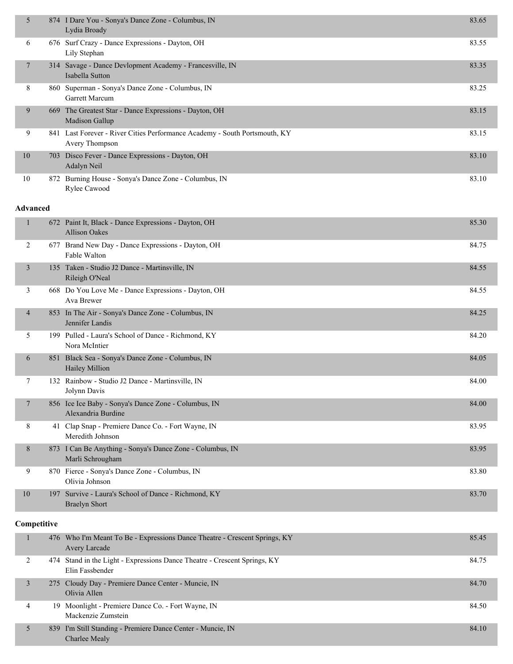| 5      |     | 874 I Dare You - Sonya's Dance Zone - Columbus, IN<br>Lydia Broady                           | 83.65 |
|--------|-----|----------------------------------------------------------------------------------------------|-------|
| 6      |     | 676 Surf Crazy - Dance Expressions - Dayton, OH<br>Lily Stephan                              | 83.55 |
| $\tau$ |     | 314 Savage - Dance Devlopment Academy - Francesville, IN<br>Isabella Sutton                  | 83.35 |
| 8      |     | 860 Superman - Sonya's Dance Zone - Columbus, IN<br>Garrett Marcum                           | 83.25 |
| 9      | 669 | The Greatest Star - Dance Expressions - Dayton, OH<br><b>Madison Gallup</b>                  | 83.15 |
| 9      |     | 841 Last Forever - River Cities Performance Academy - South Portsmouth, KY<br>Avery Thompson | 83.15 |
| 10     |     | 703 Disco Fever - Dance Expressions - Dayton, OH<br>Adalyn Neil                              | 83.10 |
| 10     | 872 | Burning House - Sonya's Dance Zone - Columbus, IN<br>Rylee Cawood                            | 83.10 |

#### **Advanced**

|                |     | 672 Paint It, Black - Dance Expressions - Dayton, OH<br><b>Allison Oakes</b>  | 85.30 |
|----------------|-----|-------------------------------------------------------------------------------|-------|
| 2              |     | 677 Brand New Day - Dance Expressions - Dayton, OH<br>Fable Walton            | 84.75 |
| 3              |     | 135 Taken - Studio J2 Dance - Martinsville, IN<br>Rileigh O'Neal              | 84.55 |
| 3              |     | 668 Do You Love Me - Dance Expressions - Dayton, OH<br>Ava Brewer             | 84.55 |
| $\overline{4}$ |     | 853 In The Air - Sonya's Dance Zone - Columbus, IN<br>Jennifer Landis         | 84.25 |
| 5              |     | 199 Pulled - Laura's School of Dance - Richmond, KY<br>Nora McIntier          | 84.20 |
| 6              | 851 | Black Sea - Sonya's Dance Zone - Columbus, IN<br>Hailey Million               | 84.05 |
| 7              |     | 132 Rainbow - Studio J2 Dance - Martinsville, IN<br>Jolynn Davis              | 84.00 |
| 7              |     | 856 Ice Ice Baby - Sonya's Dance Zone - Columbus, IN<br>Alexandria Burdine    | 84.00 |
| 8              | 41  | Clap Snap - Premiere Dance Co. - Fort Wayne, IN<br>Meredith Johnson           | 83.95 |
| 8              |     | 873 I Can Be Anything - Sonya's Dance Zone - Columbus, IN<br>Marli Schrougham | 83.95 |
| 9              |     | 870 Fierce - Sonya's Dance Zone - Columbus, IN<br>Olivia Johnson              | 83.80 |
| 10             |     | 197 Survive - Laura's School of Dance - Richmond, KY<br><b>Braelyn Short</b>  | 83.70 |

## **Competitive**

|   | 476 Who I'm Meant To Be - Expressions Dance Theatre - Crescent Springs, KY<br><b>Avery Larcade</b> | 85.45 |
|---|----------------------------------------------------------------------------------------------------|-------|
|   | 474 Stand in the Light - Expressions Dance Theatre - Crescent Springs, KY<br>Elin Fassbender       | 84.75 |
|   | 275 Cloudy Day - Premiere Dance Center - Muncie, IN<br>Olivia Allen                                | 84.70 |
| 4 | 19 Moonlight - Premiere Dance Co. - Fort Wayne, IN<br>Mackenzie Zumstein                           | 84.50 |
|   | 839 I'm Still Standing - Premiere Dance Center - Muncie, IN<br>Charlee Mealy                       | 84.10 |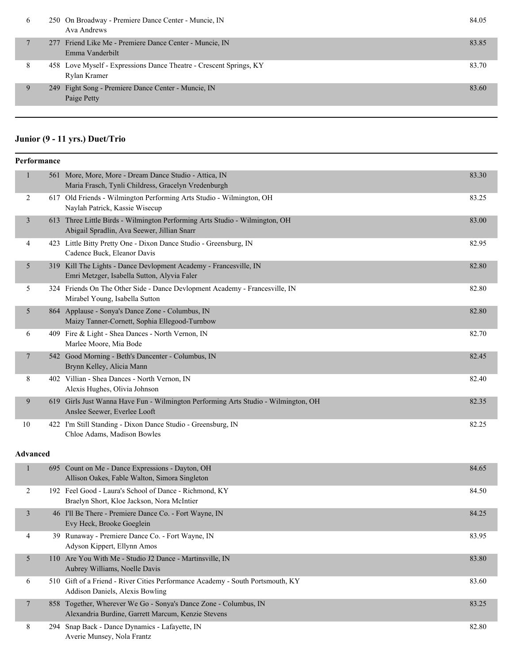| <sub>0</sub> | 250 On Broadway - Premiere Dance Center - Muncie, IN<br>Ava Andrews                | 84.05 |
|--------------|------------------------------------------------------------------------------------|-------|
|              | 277 Friend Like Me - Premiere Dance Center - Muncie, IN<br>Emma Vanderbilt         | 83.85 |
| 8            | 458 Love Myself - Expressions Dance Theatre - Crescent Springs, KY<br>Rylan Kramer | 83.70 |
| 9            | 249 Fight Song - Premiere Dance Center - Muncie, IN<br>Paige Petty                 | 83.60 |
|              |                                                                                    |       |

## **Junior (9 - 11 yrs.) Duet/Trio**

|                 | Performance |                                                                                                                            |       |
|-----------------|-------------|----------------------------------------------------------------------------------------------------------------------------|-------|
| 1               |             | 561 More, More, More - Dream Dance Studio - Attica, IN<br>Maria Frasch, Tynli Childress, Gracelyn Vredenburgh              | 83.30 |
| 2               |             | 617 Old Friends - Wilmington Performing Arts Studio - Wilmington, OH<br>Naylah Patrick, Kassie Wisecup                     | 83.25 |
| $\mathfrak{Z}$  |             | 613 Three Little Birds - Wilmington Performing Arts Studio - Wilmington, OH<br>Abigail Spradlin, Ava Seewer, Jillian Snarr | 83.00 |
| 4               |             | 423 Little Bitty Pretty One - Dixon Dance Studio - Greensburg, IN<br>Cadence Buck, Eleanor Davis                           | 82.95 |
| 5               |             | 319 Kill The Lights - Dance Devlopment Academy - Francesville, IN<br>Emri Metzger, Isabella Sutton, Alyvia Faler           | 82.80 |
| 5               |             | 324 Friends On The Other Side - Dance Devlopment Academy - Francesville, IN<br>Mirabel Young, Isabella Sutton              | 82.80 |
| 5               |             | 864 Applause - Sonya's Dance Zone - Columbus, IN<br>Maizy Tanner-Cornett, Sophia Ellegood-Turnbow                          | 82.80 |
| 6               |             | 409 Fire & Light - Shea Dances - North Vernon, IN<br>Marlee Moore, Mia Bode                                                | 82.70 |
| 7               |             | 542 Good Morning - Beth's Dancenter - Columbus, IN<br>Brynn Kelley, Alicia Mann                                            | 82.45 |
| 8               |             | 402 Villian - Shea Dances - North Vernon, IN<br>Alexis Hughes, Olivia Johnson                                              | 82.40 |
| 9               |             | 619 Girls Just Wanna Have Fun - Wilmington Performing Arts Studio - Wilmington, OH<br>Anslee Seewer, Everlee Looft         | 82.35 |
| 10              |             | 422 I'm Still Standing - Dixon Dance Studio - Greensburg, IN<br>Chloe Adams, Madison Bowles                                | 82.25 |
| <b>Advanced</b> |             |                                                                                                                            |       |
| $\mathbf{1}$    |             | 695 Count on Me - Dance Expressions - Dayton, OH<br>Allison Oakes, Fable Walton, Simora Singleton                          | 84.65 |
| 2               |             | 192 Feel Good - Laura's School of Dance - Richmond, KY<br>Braelyn Short, Kloe Jackson, Nora McIntier                       | 84.50 |
| 3               |             | 46 I'll Be There - Premiere Dance Co. - Fort Wayne, IN<br>Evy Heck, Brooke Goeglein                                        | 84.25 |
| 4               |             | 39 Runaway - Premiere Dance Co. - Fort Wayne, IN<br>Adyson Kippert, Ellynn Amos                                            | 83.95 |
| 5               |             | 110 Are You With Me - Studio J2 Dance - Martinsville, IN<br>Aubrey Williams, Noelle Davis                                  | 83.80 |
| 6               |             | 510 Gift of a Friend - River Cities Performance Academy - South Portsmouth, KY<br>Addison Daniels, Alexis Bowling          | 83.60 |
| $\overline{7}$  |             | 858 Together, Wherever We Go - Sonya's Dance Zone - Columbus, IN<br>Alexandria Burdine, Garrett Marcum, Kenzie Stevens     | 83.25 |
| 8               |             | 294 Snap Back - Dance Dynamics - Lafayette, IN<br>Averie Munsey, Nola Frantz                                               | 82.80 |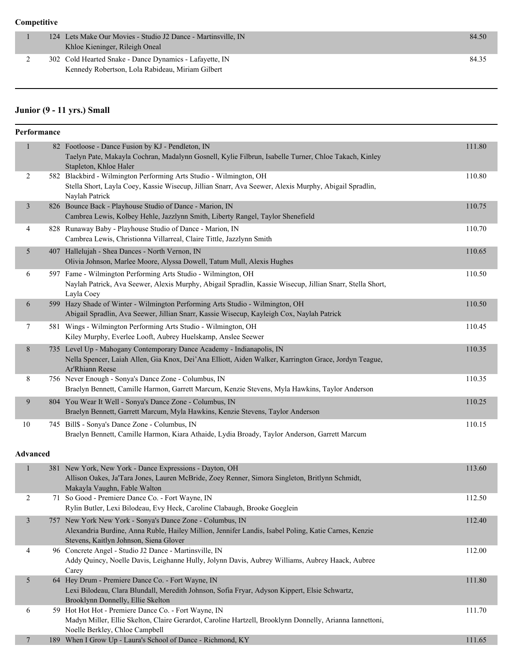|  | 124 Lets Make Our Movies - Studio J2 Dance - Martinsville, IN<br>Khloe Kieninger, Rileigh Oneal             | 84.50 |
|--|-------------------------------------------------------------------------------------------------------------|-------|
|  | 302 Cold Hearted Snake - Dance Dynamics - Lafayette, IN<br>Kennedy Robertson, Lola Rabideau, Miriam Gilbert | 84.35 |

## **Junior (9 - 11 yrs.) Small**

| Performance     |                                                                                                                                                                                                             |        |
|-----------------|-------------------------------------------------------------------------------------------------------------------------------------------------------------------------------------------------------------|--------|
| $\mathbf{1}$    | 82 Footloose - Dance Fusion by KJ - Pendleton, IN                                                                                                                                                           | 111.80 |
|                 | Taelyn Pate, Makayla Cochran, Madalynn Gosnell, Kylie Filbrun, Isabelle Turner, Chloe Takach, Kinley<br>Stapleton, Khloe Haler                                                                              |        |
| $\overline{c}$  | 582 Blackbird - Wilmington Performing Arts Studio - Wilmington, OH                                                                                                                                          | 110.80 |
|                 | Stella Short, Layla Coey, Kassie Wisecup, Jillian Snarr, Ava Seewer, Alexis Murphy, Abigail Spradlin,<br>Naylah Patrick                                                                                     |        |
| $\mathfrak{Z}$  | 826 Bounce Back - Playhouse Studio of Dance - Marion, IN<br>Cambrea Lewis, Kolbey Hehle, Jazzlynn Smith, Liberty Rangel, Taylor Shenefield                                                                  | 110.75 |
| 4               | 828 Runaway Baby - Playhouse Studio of Dance - Marion, IN<br>Cambrea Lewis, Christionna Villarreal, Claire Tittle, Jazzlynn Smith                                                                           | 110.70 |
| 5               | 407 Hallelujah - Shea Dances - North Vernon, IN<br>Olivia Johnson, Marlee Moore, Alyssa Dowell, Tatum Mull, Alexis Hughes                                                                                   | 110.65 |
| 6               | 597 Fame - Wilmington Performing Arts Studio - Wilmington, OH<br>Naylah Patrick, Ava Seewer, Alexis Murphy, Abigail Spradlin, Kassie Wisecup, Jillian Snarr, Stella Short,<br>Layla Coey                    | 110.50 |
| 6               | 599 Hazy Shade of Winter - Wilmington Performing Arts Studio - Wilmington, OH<br>Abigail Spradlin, Ava Seewer, Jillian Snarr, Kassie Wisecup, Kayleigh Cox, Naylah Patrick                                  | 110.50 |
| 7               | 581 Wings - Wilmington Performing Arts Studio - Wilmington, OH<br>Kiley Murphy, Everlee Looft, Aubrey Huelskamp, Anslee Seewer                                                                              | 110.45 |
| 8               | 735 Level Up - Mahogany Contemporary Dance Academy - Indianapolis, IN<br>Nella Spencer, Laiah Allen, Gia Knox, Dei'Ana Elliott, Aiden Walker, Karrington Grace, Jordyn Teague,<br>Ar'Rhiann Reese           | 110.35 |
| 8               | 756 Never Enough - Sonya's Dance Zone - Columbus, IN<br>Braelyn Bennett, Camille Harmon, Garrett Marcum, Kenzie Stevens, Myla Hawkins, Taylor Anderson                                                      | 110.35 |
| 9               | 804 You Wear It Well - Sonya's Dance Zone - Columbus, IN<br>Braelyn Bennett, Garrett Marcum, Myla Hawkins, Kenzie Stevens, Taylor Anderson                                                                  | 110.25 |
| 10              | 745 Bill\$ - Sonya's Dance Zone - Columbus, IN<br>Braelyn Bennett, Camille Harmon, Kiara Athaide, Lydia Broady, Taylor Anderson, Garrett Marcum                                                             | 110.15 |
| <b>Advanced</b> |                                                                                                                                                                                                             |        |
| $\mathbf{1}$    | 381 New York, New York - Dance Expressions - Dayton, OH<br>Allison Oakes, Ja'Tara Jones, Lauren McBride, Zoey Renner, Simora Singleton, Britlynn Schmidt,<br>Makayla Vaughn, Fable Walton                   | 113.60 |
| 2               | 71 So Good - Premiere Dance Co. - Fort Wayne, IN<br>Rylin Butler, Lexi Bilodeau, Evy Heck, Caroline Clabaugh, Brooke Goeglein                                                                               | 112.50 |
| $\mathfrak{Z}$  | 757 New York New York - Sonya's Dance Zone - Columbus, IN<br>Alexandria Burdine, Anna Ruble, Hailey Million, Jennifer Landis, Isabel Poling, Katie Carnes, Kenzie<br>Stevens, Kaitlyn Johnson, Siena Glover | 112.40 |
| 4               | 96 Concrete Angel - Studio J2 Dance - Martinsville, IN<br>Addy Quincy, Noelle Davis, Leighanne Hully, Jolynn Davis, Aubrey Williams, Aubrey Haack, Aubree<br>Carey                                          | 112.00 |
| 5               | 64 Hey Drum - Premiere Dance Co. - Fort Wayne, IN<br>Lexi Bilodeau, Clara Blundall, Meredith Johnson, Sofia Fryar, Adyson Kippert, Elsie Schwartz,<br>Brooklynn Donnelly, Ellie Skelton                     | 111.80 |
| 6               | 59 Hot Hot Hot - Premiere Dance Co. - Fort Wayne, IN<br>Madyn Miller, Ellie Skelton, Claire Gerardot, Caroline Hartzell, Brooklynn Donnelly, Arianna Iannettoni,<br>Noelle Berkley, Chloe Campbell          | 111.70 |
| 7               | 189 When I Grow Up - Laura's School of Dance - Richmond, KY                                                                                                                                                 | 111.65 |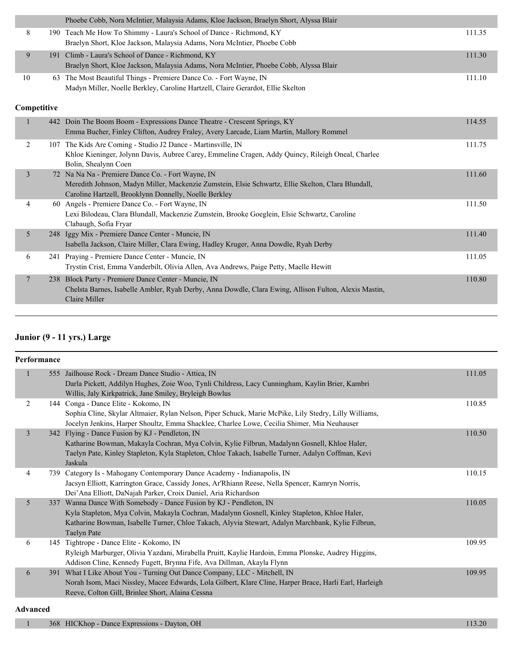|                | Phoebe Cobb, Nora McIntier, Malaysia Adams, Kloe Jackson, Braelyn Short, Alyssa Blair                                                                                                                            |        |
|----------------|------------------------------------------------------------------------------------------------------------------------------------------------------------------------------------------------------------------|--------|
| 8              | 190 Teach Me How To Shimmy - Laura's School of Dance - Richmond, KY<br>Braelyn Short, Kloe Jackson, Malaysia Adams, Nora McIntier, Phoebe Cobb                                                                   | 111.35 |
| 9              | 191 Climb - Laura's School of Dance - Richmond, KY<br>Braelyn Short, Kloe Jackson, Malaysia Adams, Nora McIntier, Phoebe Cobb, Alyssa Blair                                                                      | 111.30 |
| 10             | 63 The Most Beautiful Things - Premiere Dance Co. - Fort Wayne, IN<br>Madyn Miller, Noelle Berkley, Caroline Hartzell, Claire Gerardot, Ellie Skelton                                                            | 111.10 |
| Competitive    |                                                                                                                                                                                                                  |        |
|                | 442 Doin The Boom Boom - Expressions Dance Theatre - Crescent Springs, KY<br>Emma Bucher, Finley Clifton, Audrey Fraley, Avery Larcade, Liam Martin, Mallory Rommel                                              | 114.55 |
| 2              | 107 The Kids Are Coming - Studio J2 Dance - Martinsville, IN<br>Khloe Kieninger, Jolynn Davis, Aubree Carey, Emmeline Cragen, Addy Quincy, Rileigh Oneal, Charlee<br>Bolin, Shealynn Coen                        | 111.75 |
| 3              | 72 Na Na Na - Premiere Dance Co. - Fort Wayne, IN<br>Meredith Johnson, Madyn Miller, Mackenzie Zumstein, Elsie Schwartz, Ellie Skelton, Clara Blundall,<br>Caroline Hartzell, Brooklynn Donnelly, Noelle Berkley | 111.60 |
| 4              | 60 Angels - Premiere Dance Co. - Fort Wayne, IN<br>Lexi Bilodeau, Clara Blundall, Mackenzie Zumstein, Brooke Goeglein, Elsie Schwartz, Caroline<br>Clabaugh, Sofia Fryar                                         | 111.50 |
| 5              | 248 Iggy Mix - Premiere Dance Center - Muncie, IN<br>Isabella Jackson, Claire Miller, Clara Ewing, Hadley Kruger, Anna Dowdle, Ryah Derby                                                                        | 111.40 |
| 6              | 241 Praying - Premiere Dance Center - Muncie, IN<br>Trystin Crist, Emma Vanderbilt, Olivia Allen, Ava Andrews, Paige Petty, Maelle Hewitt                                                                        | 111.05 |
| $\overline{7}$ | 238 Block Party - Premiere Dance Center - Muncie, IN<br>Chelsta Barnes, Isabelle Ambler, Ryah Derby, Anna Dowdle, Clara Ewing, Allison Fulton, Alexis Mastin,<br>Claire Miller                                   | 110.80 |

## **Junior (9 - 11 yrs.) Large**

|                | Performance |                                                                                                                                                                                                                                                                                     |        |  |  |  |
|----------------|-------------|-------------------------------------------------------------------------------------------------------------------------------------------------------------------------------------------------------------------------------------------------------------------------------------|--------|--|--|--|
|                |             | 555 Jailhouse Rock - Dream Dance Studio - Attica, IN<br>Darla Pickett, Addilyn Hughes, Zoie Woo, Tynli Childress, Lacy Cunningham, Kaylin Brier, Kambri<br>Willis, Jaly Kirkpatrick, Jane Smiley, Bryleigh Bowlus                                                                   | 111.05 |  |  |  |
| 2              |             | 144 Conga - Dance Elite - Kokomo, IN<br>Sophia Cline, Skylar Altmaier, Rylan Nelson, Piper Schuck, Marie McPike, Lily Stedry, Lilly Williams,<br>Jocelyn Jenkins, Harper Shoultz, Emma Shacklee, Charlee Lowe, Cecilia Shimer, Mia Neuhauser                                        | 110.85 |  |  |  |
| $\overline{3}$ |             | 342 Flying - Dance Fusion by KJ - Pendleton, IN<br>Katharine Bowman, Makayla Cochran, Mya Colvin, Kylie Filbrun, Madalynn Gosnell, Khloe Haler,<br>Taelyn Pate, Kinley Stapleton, Kyla Stapleton, Chloe Takach, Isabelle Turner, Adalyn Coffman, Kevi<br>Jaskula                    | 110.50 |  |  |  |
| 4              |             | 739 Category Is - Mahogany Contemporary Dance Academy - Indianapolis, IN<br>Jacsyn Elliott, Karrington Grace, Cassidy Jones, Ar'Rhiann Reese, Nella Spencer, Kamryn Norris,<br>Dei'Ana Elliott, DaNajah Parker, Croix Daniel, Aria Richardson                                       | 110.15 |  |  |  |
| 5              | 337         | Wanna Dance With Somebody - Dance Fusion by KJ - Pendleton, IN<br>Kyla Stapleton, Mya Colvin, Makayla Cochran, Madalynn Gosnell, Kinley Stapleton, Khloe Haler,<br>Katharine Bowman, Isabelle Turner, Chloe Takach, Alyvia Stewart, Adalyn Marchbank, Kylie Filbrun,<br>Taelyn Pate | 110.05 |  |  |  |
| 6              |             | 145 Tightrope - Dance Elite - Kokomo, IN<br>Ryleigh Marburger, Olivia Yazdani, Mirabella Pruitt, Kaylie Hardoin, Emma Plonske, Audrey Higgins,<br>Addison Cline, Kennedy Fugett, Brynna Fife, Ava Dillman, Akayla Flynn                                                             | 109.95 |  |  |  |
| 6              |             | 391 What I Like About You - Turning Out Dance Company, LLC - Mitchell, IN<br>Norah Isom, Maci Nissley, Macee Edwards, Lola Gilbert, Klare Cline, Harper Brace, Harli Earl, Harleigh<br>Reeve, Colton Gill, Brinlee Short, Alaina Cessna                                             | 109.95 |  |  |  |

#### **Advanced**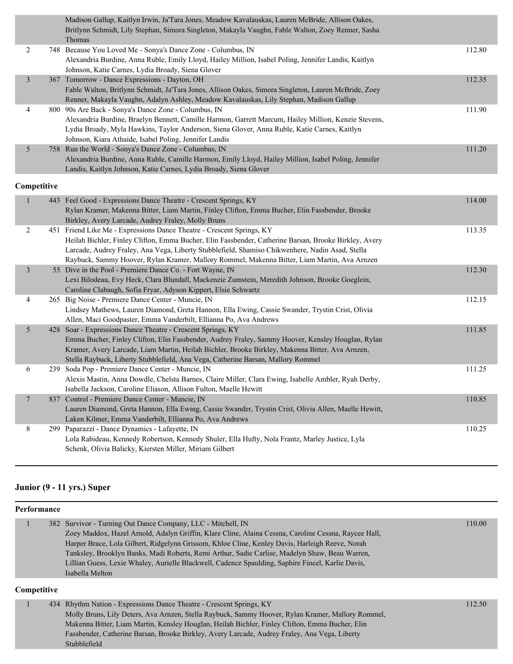|                | Madison Gallup, Kaitlyn Irwin, Ja'Tara Jones, Meadow Kavalauskas, Lauren McBride, Allison Oakes,<br>Britlynn Schmidt, Lily Stephan, Simora Singleton, Makayla Vaughn, Fable Walton, Zoey Renner, Sasha |        |
|----------------|--------------------------------------------------------------------------------------------------------------------------------------------------------------------------------------------------------|--------|
|                | Thomas                                                                                                                                                                                                 |        |
| 2              | 748 Because You Loved Me - Sonya's Dance Zone - Columbus, IN                                                                                                                                           | 112.80 |
|                | Alexandria Burdine, Anna Ruble, Emily Lloyd, Hailey Million, Isabel Poling, Jennifer Landis, Kaitlyn                                                                                                   |        |
|                | Johnson, Katie Carnes, Lydia Broady, Siena Glover                                                                                                                                                      |        |
| $\mathfrak{Z}$ | 367 Tomorrow - Dance Expressions - Dayton, OH                                                                                                                                                          | 112.35 |
|                | Fable Walton, Britlynn Schmidt, Ja'Tara Jones, Allison Oakes, Simora Singleton, Lauren McBride, Zoey                                                                                                   |        |
|                | Renner, Makayla Vaughn, Adalyn Ashley, Meadow Kavalauskas, Lily Stephan, Madison Gallup                                                                                                                |        |
| 4              | 800 90s Are Back - Sonya's Dance Zone - Columbus, IN                                                                                                                                                   | 111.90 |
|                | Alexandria Burdine, Braelyn Bennett, Camille Harmon, Garrett Marcum, Hailey Million, Kenzie Stevens,                                                                                                   |        |
|                | Lydia Broady, Myla Hawkins, Taylor Anderson, Siena Glover, Anna Ruble, Katie Carnes, Kaitlyn                                                                                                           |        |
|                | Johnson, Kiara Athaide, Isabel Poling, Jennifer Landis                                                                                                                                                 |        |
| 5              | 758 Run the World - Sonya's Dance Zone - Columbus, IN                                                                                                                                                  | 111.20 |
|                | Alexandria Burdine, Anna Ruble, Camille Harmon, Emily Lloyd, Hailey Million, Isabel Poling, Jennifer                                                                                                   |        |
|                | Landis, Kaitlyn Johnson, Katie Carnes, Lydia Broady, Siena Glover                                                                                                                                      |        |
| Competitive    |                                                                                                                                                                                                        |        |
| 1              | 443 Feel Good - Expressions Dance Theatre - Crescent Springs, KY                                                                                                                                       | 114.00 |
|                | Rylan Kramer, Makenna Bitter, Liam Martin, Finley Clifton, Emma Bucher, Elin Fassbender, Brooke                                                                                                        |        |
|                | Birkley, Avery Larcade, Audrey Fraley, Molly Bruns                                                                                                                                                     |        |
| $\overline{2}$ | 451 Friend Like Me - Expressions Dance Theatre - Crescent Springs, KY                                                                                                                                  | 113.35 |
|                | Heilah Bichler, Finley Clifton, Emma Bucher, Elin Fassbender, Catherine Barsan, Brooke Birkley, Avery                                                                                                  |        |
|                | Larcade, Audrey Fraley, Ana Vega, Liberty Stubblefield, Shamiso Chikwenhere, Nadin Asad, Stella                                                                                                        |        |
|                | Raybuck, Sammy Hoover, Rylan Kramer, Mallory Rommel, Makenna Bitter, Liam Martin, Ava Arnzen                                                                                                           |        |
| $\mathfrak{Z}$ | 55 Dive in the Pool - Premiere Dance Co. - Fort Wayne, IN                                                                                                                                              | 112.30 |
|                | Lexi Bilodeau, Evy Heck, Clara Blundall, Mackenzie Zumstein, Meredith Johnson, Brooke Goeglein,                                                                                                        |        |
|                | Caroline Clabaugh, Sofia Fryar, Adyson Kippert, Elsie Schwartz                                                                                                                                         |        |
| 4              | 265 Big Noise - Premiere Dance Center - Muncie, IN                                                                                                                                                     | 112.15 |
|                | Lindsey Mathews, Lauren Diamond, Greta Hannon, Ella Ewing, Cassie Swander, Trystin Crist, Olivia                                                                                                       |        |
|                | Allen, Maci Goodpaster, Emma Vanderbilt, Ellianna Po, Ava Andrews                                                                                                                                      |        |
| 5              | 428 Soar - Expressions Dance Theatre - Crescent Springs, KY                                                                                                                                            | 111.85 |
|                | Emma Bucher, Finley Clifton, Elin Fassbender, Audrey Fraley, Sammy Hoover, Kensley Houglan, Rylan                                                                                                      |        |
|                | Kramer, Avery Larcade, Liam Martin, Heilah Bichler, Brooke Birkley, Makenna Bitter, Ava Arnzen,                                                                                                        |        |
|                | Stella Raybuck, Liberty Stubblefield, Ana Vega, Catherine Barsan, Mallory Rommel                                                                                                                       |        |
| 6              | 239 Soda Pop - Premiere Dance Center - Muncie, IN                                                                                                                                                      | 111.25 |
|                | Alexis Mastin, Anna Dowdle, Chelsta Barnes, Claire Miller, Clara Ewing, Isabelle Ambler, Ryah Derby,                                                                                                   |        |
|                | Isabella Jackson, Caroline Eliason, Allison Fulton, Maelle Hewitt                                                                                                                                      |        |
| $\overline{7}$ | 837 Control - Premiere Dance Center - Muncie, IN                                                                                                                                                       | 110.85 |
|                | Lauren Diamond, Greta Hannon, Ella Ewing, Cassie Swander, Trystin Crist, Olivia Allen, Maelle Hewitt,                                                                                                  |        |
|                |                                                                                                                                                                                                        |        |

Laken Kilmer, Emma Vanderbilt, Ellianna Po, Ava Andrews 8 299 Paparazzi - Dance Dynamics - Lafayette, IN 110.25 Lola Rabideau, Kennedy Robertson, Kennedy Shuler, Ella Hufty, Nola Frantz, Marley Justice, Lyla Schenk, Olivia Balicky, Kiersten Miller, Miriam Gilbert

#### **Junior (9 - 11 yrs.) Super**

Stubblefield

| Performance        |                                                                                                                                                                                                                                                                                                                                                                                                                                                                                                   |        |  |  |  |
|--------------------|---------------------------------------------------------------------------------------------------------------------------------------------------------------------------------------------------------------------------------------------------------------------------------------------------------------------------------------------------------------------------------------------------------------------------------------------------------------------------------------------------|--------|--|--|--|
|                    | 382 Survivor - Turning Out Dance Company, LLC - Mitchell, IN<br>Zoey Maddox, Hazel Arnold, Adalyn Griffin, Klare Cline, Alaina Cessna, Caroline Cessna, Raycee Hall,<br>Harper Brace, Lola Gilbert, Ridgelynn Grissom, Khloe Cline, Kenley Davis, Harleigh Reeve, Norah<br>Tanksley, Brooklyn Banks, Madi Roberts, Remi Arthur, Sadie Carlise, Madelyn Shaw, Beau Warren,<br>Lillian Guess, Lexie Whaley, Aurielle Blackwell, Cadence Spaulding, Saphire Fincel, Karlie Davis,<br>Isabella Melton | 110.00 |  |  |  |
| <b>Competitive</b> |                                                                                                                                                                                                                                                                                                                                                                                                                                                                                                   |        |  |  |  |
|                    | 434 Rhythm Nation - Expressions Dance Theatre - Crescent Springs, KY<br>Molly Bruns, Lily Deters, Ava Arnzen, Stella Raybuck, Sammy Hoover, Rylan Kramer, Mallory Rommel,<br>Makenna Bitter, Liam Martin, Kensley Houglan, Heilah Bichler, Finley Clifton, Emma Bucher, Elin                                                                                                                                                                                                                      | 112.50 |  |  |  |

Fassbender, Catherine Barsan, Brooke Birkley, Avery Larcade, Audrey Fraley, Ana Vega, Liberty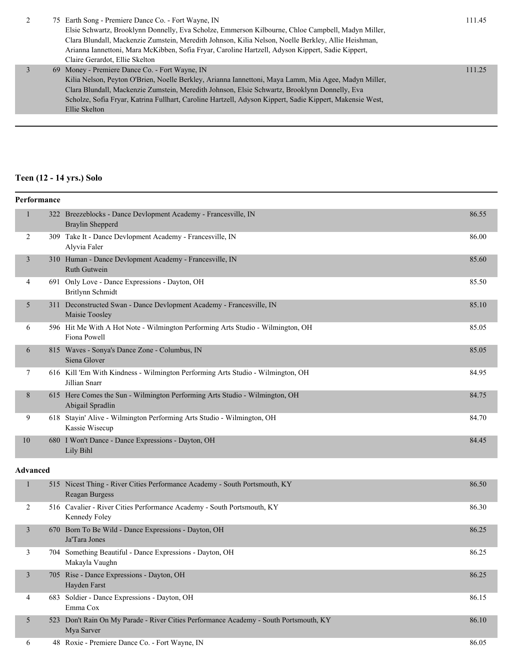|  | 75 Earth Song - Premiere Dance Co. - Fort Wayne, IN                                                      | 111.45 |  |
|--|----------------------------------------------------------------------------------------------------------|--------|--|
|  | Elsie Schwartz, Brooklynn Donnelly, Eva Scholze, Emmerson Kilbourne, Chloe Campbell, Madyn Miller,       |        |  |
|  | Clara Blundall, Mackenzie Zumstein, Meredith Johnson, Kilia Nelson, Noelle Berkley, Allie Heishman,      |        |  |
|  | Arianna Iannettoni, Mara McKibben, Sofia Fryar, Caroline Hartzell, Adyson Kippert, Sadie Kippert,        |        |  |
|  | Claire Gerardot, Ellie Skelton                                                                           |        |  |
|  | 69 Money - Premiere Dance Co. - Fort Wayne, IN                                                           | 111.25 |  |
|  | Kilia Nelson, Peyton O'Brien, Noelle Berkley, Arianna Iannettoni, Maya Lamm, Mia Agee, Madyn Miller,     |        |  |
|  | Clara Blundall, Mackenzie Zumstein, Meredith Johnson, Elsie Schwartz, Brooklynn Donnelly, Eva            |        |  |
|  | Scholze, Sofia Fryar, Katrina Fullhart, Caroline Hartzell, Adyson Kippert, Sadie Kippert, Makensie West, |        |  |
|  | Ellie Skelton                                                                                            |        |  |
|  |                                                                                                          |        |  |

# **Teen (12 - 14 yrs.) Solo**

| Performance |                 |                                                                                                     |       |  |
|-------------|-----------------|-----------------------------------------------------------------------------------------------------|-------|--|
| 1           |                 | 322 Breezeblocks - Dance Devlopment Academy - Francesville, IN<br><b>Braylin Shepperd</b>           | 86.55 |  |
| 2           |                 | 309 Take It - Dance Devlopment Academy - Francesville, IN<br>Alyvia Faler                           | 86.00 |  |
| 3           |                 | 310 Human - Dance Devlopment Academy - Francesville, IN<br>Ruth Gutwein                             | 85.60 |  |
| 4           |                 | 691 Only Love - Dance Expressions - Dayton, OH<br>Britlynn Schmidt                                  | 85.50 |  |
| 5           |                 | 311 Deconstructed Swan - Dance Devlopment Academy - Francesville, IN<br>Maisie Toosley              | 85.10 |  |
| 6           |                 | 596 Hit Me With A Hot Note - Wilmington Performing Arts Studio - Wilmington, OH<br>Fiona Powell     | 85.05 |  |
| 6           |                 | 815 Waves - Sonya's Dance Zone - Columbus, IN<br>Siena Glover                                       | 85.05 |  |
| 7           |                 | 616 Kill 'Em With Kindness - Wilmington Performing Arts Studio - Wilmington, OH<br>Jillian Snarr    | 84.95 |  |
| 8           |                 | 615 Here Comes the Sun - Wilmington Performing Arts Studio - Wilmington, OH<br>Abigail Spradlin     | 84.75 |  |
| 9           |                 | 618 Stayin' Alive - Wilmington Performing Arts Studio - Wilmington, OH<br>Kassie Wisecup            | 84.70 |  |
| 10          |                 | 680 I Won't Dance - Dance Expressions - Dayton, OH<br>Lily Bihl                                     | 84.45 |  |
|             | <b>Advanced</b> |                                                                                                     |       |  |
| 1           |                 | 515 Nicest Thing - River Cities Performance Academy - South Portsmouth, KY<br>Reagan Burgess        | 86.50 |  |
| 2           |                 | 516 Cavalier - River Cities Performance Academy - South Portsmouth, KY<br>Kennedy Foley             | 86.30 |  |
| 3           |                 | 670 Born To Be Wild - Dance Expressions - Dayton, OH<br>Ja'Tara Jones                               | 86.25 |  |
| 3           |                 | 704 Something Beautiful - Dance Expressions - Dayton, OH<br>Makayla Vaughn                          | 86.25 |  |
| 3           |                 | 705 Rise - Dance Expressions - Dayton, OH<br>Hayden Farst                                           | 86.25 |  |
| 4           |                 | 683 Soldier - Dance Expressions - Dayton, OH<br>Emma Cox                                            | 86.15 |  |
| 5           |                 | 523 Don't Rain On My Parade - River Cities Performance Academy - South Portsmouth, KY<br>Mya Sarver | 86.10 |  |
| 6           |                 | 48 Roxie - Premiere Dance Co. - Fort Wayne, IN                                                      | 86.05 |  |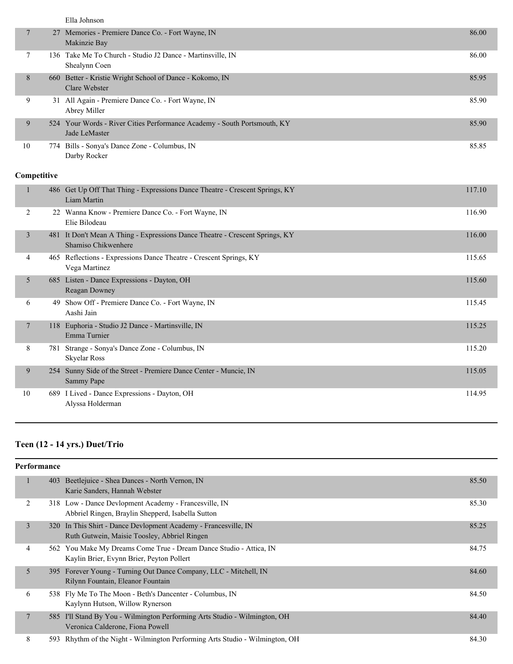| Ella Johnson |
|--------------|
|--------------|

|    | 27 Memories - Premiere Dance Co. - Fort Wayne, IN<br>Makinzie Bay                         | 86.00 |
|----|-------------------------------------------------------------------------------------------|-------|
|    | 136 Take Me To Church - Studio J2 Dance - Martinsville, IN<br>Shealynn Coen               | 86.00 |
| 8  | 660 Better - Kristie Wright School of Dance - Kokomo, IN<br>Clare Webster                 | 85.95 |
| 9  | 31 All Again - Premiere Dance Co. - Fort Wayne, IN<br>Abrey Miller                        | 85.90 |
| 9  | 524 Your Words - River Cities Performance Academy - South Portsmouth, KY<br>Jade LeMaster | 85.90 |
| 10 | 774 Bills - Sonya's Dance Zone - Columbus, IN<br>Darby Rocker                             | 85.85 |

|    |     | 486 Get Up Off That Thing - Expressions Dance Theatre - Crescent Springs, KY<br>Liam Martin         | 117.10 |
|----|-----|-----------------------------------------------------------------------------------------------------|--------|
| 2  |     | 22 Wanna Know - Premiere Dance Co. - Fort Wayne, IN<br>Elie Bilodeau                                | 116.90 |
| 3  |     | 481 It Don't Mean A Thing - Expressions Dance Theatre - Crescent Springs, KY<br>Shamiso Chikwenhere | 116.00 |
| 4  |     | 465 Reflections - Expressions Dance Theatre - Crescent Springs, KY<br>Vega Martinez                 | 115.65 |
| 5  | 685 | Listen - Dance Expressions - Dayton, OH<br>Reagan Downey                                            | 115.60 |
| 6  | 49  | Show Off - Premiere Dance Co. - Fort Wayne, IN<br>Aashi Jain                                        | 115.45 |
| 7  |     | 118 Euphoria - Studio J2 Dance - Martinsville, IN<br>Emma Turnier                                   | 115.25 |
| 8  |     | 781 Strange - Sonya's Dance Zone - Columbus, IN<br><b>Skyelar Ross</b>                              | 115.20 |
| 9  | 254 | Sunny Side of the Street - Premiere Dance Center - Muncie, IN<br>Sammy Pape                         | 115.05 |
| 10 |     | 689 I Lived - Dance Expressions - Dayton, OH<br>Alyssa Holderman                                    | 114.95 |

## **Teen (12 - 14 yrs.) Duet/Trio**

|  | <b>Performance</b> |     |                                                                                                                 |       |  |
|--|--------------------|-----|-----------------------------------------------------------------------------------------------------------------|-------|--|
|  | 1                  | 403 | Beetlejuice - Shea Dances - North Vernon, IN<br>Karie Sanders, Hannah Webster                                   | 85.50 |  |
|  | 2                  |     | 318 Low - Dance Devlopment Academy - Francesville, IN<br>Abbriel Ringen, Braylin Shepperd, Isabella Sutton      | 85.30 |  |
|  | $\mathfrak{Z}$     |     | 320 In This Shirt - Dance Devlopment Academy - Francesville, IN<br>Ruth Gutwein, Maisie Toosley, Abbriel Ringen | 85.25 |  |
|  | 4                  |     | 562 You Make My Dreams Come True - Dream Dance Studio - Attica, IN<br>Kaylin Brier, Evynn Brier, Peyton Pollert | 84.75 |  |
|  | 5                  |     | 395 Forever Young - Turning Out Dance Company, LLC - Mitchell, IN<br>Rilynn Fountain, Eleanor Fountain          | 84.60 |  |
|  | 6                  |     | 538 Fly Me To The Moon - Beth's Dancenter - Columbus, IN<br>Kaylynn Hutson, Willow Rynerson                     | 84.50 |  |
|  | 7                  |     | 585 I'll Stand By You - Wilmington Performing Arts Studio - Wilmington, OH<br>Veronica Calderone, Fiona Powell  | 84.40 |  |
|  | 8                  |     | 593 Rhythm of the Night - Wilmington Performing Arts Studio - Wilmington, OH                                    | 84.30 |  |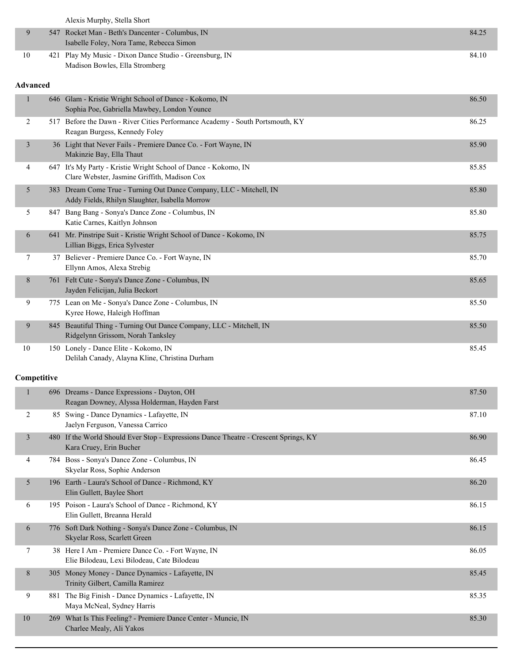Alexis Murphy, Stella Short

|    | 547 Rocket Man - Beth's Dancenter - Columbus, IN        | 84.25 |
|----|---------------------------------------------------------|-------|
|    | Isabelle Foley, Nora Tame, Rebecca Simon                |       |
| 10 | 421 Play My Music - Dixon Dance Studio - Greensburg, IN | 84.10 |
|    | Madison Bowles, Ella Stromberg                          |       |

#### **Advanced**

| $\mathbf{1}$   | 646 Glam - Kristie Wright School of Dance - Kokomo, IN<br>Sophia Poe, Gabriella Mawbey, London Younce                 | 86.50 |
|----------------|-----------------------------------------------------------------------------------------------------------------------|-------|
| 2              | 517 Before the Dawn - River Cities Performance Academy - South Portsmouth, KY<br>Reagan Burgess, Kennedy Foley        | 86.25 |
| $\mathfrak{Z}$ | 36 Light that Never Fails - Premiere Dance Co. - Fort Wayne, IN<br>Makinzie Bay, Ella Thaut                           | 85.90 |
| 4              | 647 It's My Party - Kristie Wright School of Dance - Kokomo, IN<br>Clare Webster, Jasmine Griffith, Madison Cox       | 85.85 |
| 5              | 383 Dream Come True - Turning Out Dance Company, LLC - Mitchell, IN<br>Addy Fields, Rhilyn Slaughter, Isabella Morrow | 85.80 |
| 5              | 847 Bang Bang - Sonya's Dance Zone - Columbus, IN<br>Katie Carnes, Kaitlyn Johnson                                    | 85.80 |
| 6              | 641 Mr. Pinstripe Suit - Kristie Wright School of Dance - Kokomo, IN<br>Lillian Biggs, Erica Sylvester                | 85.75 |
| 7              | 37 Believer - Premiere Dance Co. - Fort Wayne, IN<br>Ellynn Amos, Alexa Strebig                                       | 85.70 |
| 8              | 761 Felt Cute - Sonya's Dance Zone - Columbus, IN<br>Jayden Felicijan, Julia Beckort                                  | 85.65 |
| 9              | 775 Lean on Me - Sonya's Dance Zone - Columbus, IN<br>Kyree Howe, Haleigh Hoffman                                     | 85.50 |
| 9              | 845 Beautiful Thing - Turning Out Dance Company, LLC - Mitchell, IN<br>Ridgelynn Grissom, Norah Tanksley              | 85.50 |
| 10             | 150 Lonely - Dance Elite - Kokomo, IN<br>Delilah Canady, Alayna Kline, Christina Durham                               | 85.45 |
|                |                                                                                                                       |       |
| Competitive    |                                                                                                                       |       |
| $\mathbf{1}$   | 696 Dreams - Dance Expressions - Dayton, OH<br>Reagan Downey, Alyssa Holderman, Hayden Farst                          | 87.50 |
| 2              | 85 Swing - Dance Dynamics - Lafayette, IN<br>Jaelyn Ferguson, Vanessa Carrico                                         | 87.10 |
| 3              | 480 If the World Should Ever Stop - Expressions Dance Theatre - Crescent Springs, KY<br>Kara Cruey, Erin Bucher       | 86.90 |
| 4              | 784 Boss - Sonya's Dance Zone - Columbus, IN<br>Skyelar Ross, Sophie Anderson                                         | 86.45 |
| 5              | 196 Earth - Laura's School of Dance - Richmond, KY<br>Elin Gullett, Baylee Short                                      | 86.20 |
| 6              | 195 Poison - Laura's School of Dance - Richmond, KY<br>Elin Gullett, Breanna Herald                                   | 86.15 |
| 6              | 776 Soft Dark Nothing - Sonya's Dance Zone - Columbus, IN<br>Skyelar Ross, Scarlett Green                             | 86.15 |
| 7              | 38 Here I Am - Premiere Dance Co. - Fort Wayne, IN<br>Elie Bilodeau, Lexi Bilodeau, Cate Bilodeau                     | 86.05 |
| 8              | 305 Money Money - Dance Dynamics - Lafayette, IN<br>Trinity Gilbert, Camilla Ramirez                                  | 85.45 |
| 9              | 881 The Big Finish - Dance Dynamics - Lafayette, IN<br>Maya McNeal, Sydney Harris                                     | 85.35 |
| 10             | 269 What Is This Feeling? - Premiere Dance Center - Muncie, IN<br>Charlee Mealy, Ali Yakos                            | 85.30 |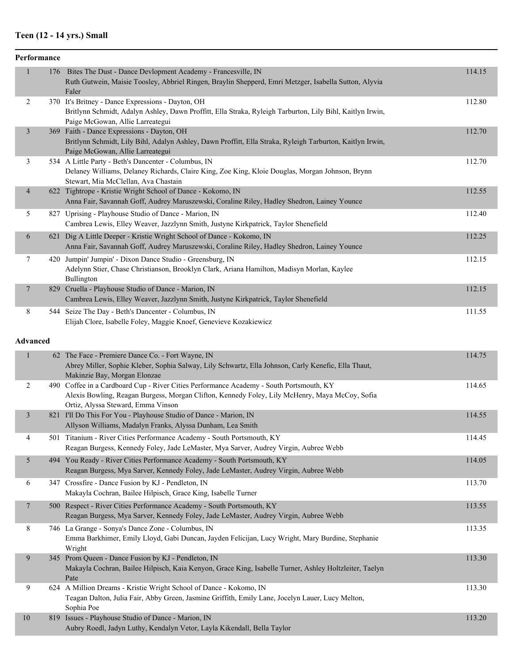## **Teen (12 - 14 yrs.) Small**

|                 | Performance |                                                                                                                                                                                                                                 |        |
|-----------------|-------------|---------------------------------------------------------------------------------------------------------------------------------------------------------------------------------------------------------------------------------|--------|
| $\mathbf{1}$    |             | 176 Bites The Dust - Dance Devlopment Academy - Francesville, IN<br>Ruth Gutwein, Maisie Toosley, Abbriel Ringen, Braylin Shepperd, Emri Metzger, Isabella Sutton, Alyvia<br>Faler                                              | 114.15 |
| 2               |             | 370 It's Britney - Dance Expressions - Dayton, OH<br>Britlynn Schmidt, Adalyn Ashley, Dawn Proffitt, Ella Straka, Ryleigh Tarburton, Lily Bihl, Kaitlyn Irwin,<br>Paige McGowan, Allie Larreategui                              | 112.80 |
| $\mathfrak{Z}$  |             | 369 Faith - Dance Expressions - Dayton, OH<br>Britlynn Schmidt, Lily Bihl, Adalyn Ashley, Dawn Proffitt, Ella Straka, Ryleigh Tarburton, Kaitlyn Irwin,<br>Paige McGowan, Allie Larreategui                                     | 112.70 |
| 3               |             | 534 A Little Party - Beth's Dancenter - Columbus, IN<br>Delaney Williams, Delaney Richards, Claire King, Zoe King, Kloie Douglas, Morgan Johnson, Brynn<br>Stewart, Mia McClellan, Ava Chastain                                 | 112.70 |
| $\overline{4}$  |             | 622 Tightrope - Kristie Wright School of Dance - Kokomo, IN<br>Anna Fair, Savannah Goff, Audrey Maruszewski, Coraline Riley, Hadley Shedron, Lainey Younce                                                                      | 112.55 |
| 5               |             | 827 Uprising - Playhouse Studio of Dance - Marion, IN<br>Cambrea Lewis, Elley Weaver, Jazzlynn Smith, Justyne Kirkpatrick, Taylor Shenefield                                                                                    | 112.40 |
| 6               |             | 621 Dig A Little Deeper - Kristie Wright School of Dance - Kokomo, IN<br>Anna Fair, Savannah Goff, Audrey Maruszewski, Coraline Riley, Hadley Shedron, Lainey Younce                                                            | 112.25 |
| 7               |             | 420 Jumpin' Jumpin' - Dixon Dance Studio - Greensburg, IN<br>Adelynn Stier, Chase Christianson, Brooklyn Clark, Ariana Hamilton, Madisyn Morlan, Kaylee<br>Bullington                                                           | 112.15 |
| 7               |             | 829 Cruella - Playhouse Studio of Dance - Marion, IN<br>Cambrea Lewis, Elley Weaver, Jazzlynn Smith, Justyne Kirkpatrick, Taylor Shenefield                                                                                     | 112.15 |
| 8               |             | 544 Seize The Day - Beth's Dancenter - Columbus, IN<br>Elijah Clore, Isabelle Foley, Maggie Knoef, Genevieve Kozakiewicz                                                                                                        | 111.55 |
| <b>Advanced</b> |             |                                                                                                                                                                                                                                 |        |
| $\mathbf{1}$    |             | 62 The Face - Premiere Dance Co. - Fort Wayne, IN<br>Abrey Miller, Sophie Kleber, Sophia Salway, Lily Schwartz, Ella Johnson, Carly Kenefic, Ella Thaut,<br>Makinzie Bay, Morgan Elonzae                                        | 114.75 |
| 2               |             | 490 Coffee in a Cardboard Cup - River Cities Performance Academy - South Portsmouth, KY<br>Alexis Bowling, Reagan Burgess, Morgan Clifton, Kennedy Foley, Lily McHenry, Maya McCoy, Sofia<br>Ortiz, Alyssa Steward, Emma Vinson | 114.65 |
| $\mathfrak{Z}$  |             | 821 I'll Do This For You - Playhouse Studio of Dance - Marion, IN<br>Allyson Williams, Madalyn Franks, Alyssa Dunham, Lea Smith                                                                                                 | 114.55 |
| 4               |             | 501 Titanium - River Cities Performance Academy - South Portsmouth, KY<br>Reagan Burgess, Kennedy Foley, Jade LeMaster, Mya Sarver, Audrey Virgin, Aubree Webb                                                                  | 114.45 |
| 5               |             | 494 You Ready - River Cities Performance Academy - South Portsmouth, KY<br>Reagan Burgess, Mya Sarver, Kennedy Foley, Jade LeMaster, Audrey Virgin, Aubree Webb                                                                 | 114.05 |
| 6               |             | 347 Crossfire - Dance Fusion by KJ - Pendleton, IN<br>Makayla Cochran, Bailee Hilpisch, Grace King, Isabelle Turner                                                                                                             | 113.70 |
| 7               |             | 500 Respect - River Cities Performance Academy - South Portsmouth, KY<br>Reagan Burgess, Mya Sarver, Kennedy Foley, Jade LeMaster, Audrey Virgin, Aubree Webb                                                                   | 113.55 |
| 8               |             | 746 La Grange - Sonya's Dance Zone - Columbus, IN<br>Emma Barkhimer, Emily Lloyd, Gabi Duncan, Jayden Felicijan, Lucy Wright, Mary Burdine, Stephanie<br>Wright                                                                 | 113.35 |
| 9               |             | 345 Prom Queen - Dance Fusion by KJ - Pendleton, IN<br>Makayla Cochran, Bailee Hilpisch, Kaia Kenyon, Grace King, Isabelle Turner, Ashley Holtzleiter, Taelyn<br>Pate                                                           | 113.30 |
| 9               |             | 624 A Million Dreams - Kristie Wright School of Dance - Kokomo, IN<br>Teagan Dalton, Julia Fair, Abby Green, Jasmine Griffith, Emily Lane, Jocelyn Lauer, Lucy Melton,<br>Sophia Poe                                            | 113.30 |
| $10\,$          |             | 819 Issues - Playhouse Studio of Dance - Marion, IN<br>Aubry Roedl, Jadyn Luthy, Kendalyn Vetor, Layla Kikendall, Bella Taylor                                                                                                  | 113.20 |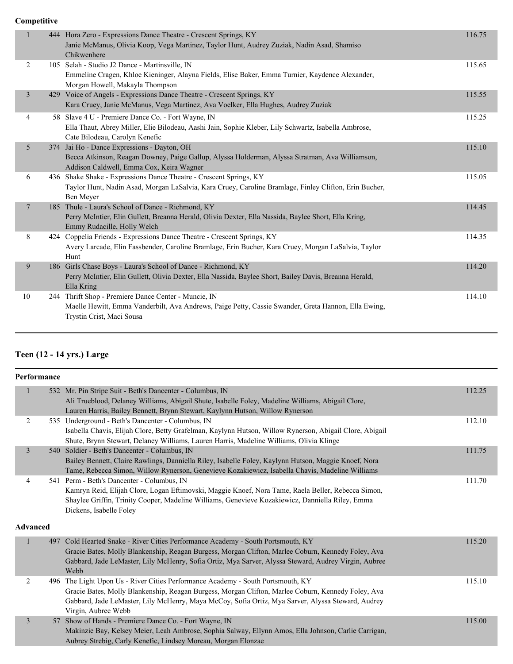|                |     | 444 Hora Zero - Expressions Dance Theatre - Crescent Springs, KY<br>Janie McManus, Olivia Koop, Vega Martinez, Taylor Hunt, Audrey Zuziak, Nadin Asad, Shamiso<br>Chikwenhere                | 116.75 |
|----------------|-----|----------------------------------------------------------------------------------------------------------------------------------------------------------------------------------------------|--------|
| 2              |     | 105 Selah - Studio J2 Dance - Martinsville, IN<br>Emmeline Cragen, Khloe Kieninger, Alayna Fields, Elise Baker, Emma Turnier, Kaydence Alexander,<br>Morgan Howell, Makayla Thompson         | 115.65 |
| $\overline{3}$ |     | 429 Voice of Angels - Expressions Dance Theatre - Crescent Springs, KY<br>Kara Cruey, Janie McManus, Vega Martinez, Ava Voelker, Ella Hughes, Audrey Zuziak                                  | 115.55 |
| 4              |     | 58 Slave 4 U - Premiere Dance Co. - Fort Wayne, IN<br>Ella Thaut, Abrey Miller, Elie Bilodeau, Aashi Jain, Sophie Kleber, Lily Schwartz, Isabella Ambrose,<br>Cate Bilodeau, Carolyn Kenefic | 115.25 |
| 5              | 374 | Jai Ho - Dance Expressions - Dayton, OH<br>Becca Atkinson, Reagan Downey, Paige Gallup, Alyssa Holderman, Alyssa Stratman, Ava Williamson,<br>Addison Caldwell, Emma Cox, Keira Wagner       | 115.10 |
| 6              |     | 436 Shake Shake - Expressions Dance Theatre - Crescent Springs, KY<br>Taylor Hunt, Nadin Asad, Morgan LaSalvia, Kara Cruey, Caroline Bramlage, Finley Clifton, Erin Bucher,<br>Ben Meyer     | 115.05 |
| $\tau$         |     | 185 Thule - Laura's School of Dance - Richmond, KY<br>Perry McIntier, Elin Gullett, Breanna Herald, Olivia Dexter, Ella Nassida, Baylee Short, Ella Kring,<br>Emmy Rudacille, Holly Welch    | 114.45 |
| 8              |     | 424 Coppelia Friends - Expressions Dance Theatre - Crescent Springs, KY<br>Avery Larcade, Elin Fassbender, Caroline Bramlage, Erin Bucher, Kara Cruey, Morgan LaSalvia, Taylor<br>Hunt       | 114.35 |
| 9              |     | 186 Girls Chase Boys - Laura's School of Dance - Richmond, KY<br>Perry McIntier, Elin Gullett, Olivia Dexter, Ella Nassida, Baylee Short, Bailey Davis, Breanna Herald,<br>Ella Kring        | 114.20 |
| 10             |     | 244 Thrift Shop - Premiere Dance Center - Muncie, IN<br>Maelle Hewitt, Emma Vanderbilt, Ava Andrews, Paige Petty, Cassie Swander, Greta Hannon, Ella Ewing,<br>Trystin Crist, Maci Sousa     | 114.10 |

## **Teen (12 - 14 yrs.) Large**

| Performance     |     |                                                                                                                                                                                                                                                                                                                   |        |
|-----------------|-----|-------------------------------------------------------------------------------------------------------------------------------------------------------------------------------------------------------------------------------------------------------------------------------------------------------------------|--------|
| $\mathbf{1}$    |     | 532 Mr. Pin Stripe Suit - Beth's Dancenter - Columbus, IN<br>Ali Trueblood, Delaney Williams, Abigail Shute, Isabelle Foley, Madeline Williams, Abigail Clore,<br>Lauren Harris, Bailey Bennett, Brynn Stewart, Kaylynn Hutson, Willow Rynerson                                                                   | 112.25 |
| 2               |     | 535 Underground - Beth's Dancenter - Columbus, IN<br>Isabella Chavis, Elijah Clore, Betty Grafelman, Kaylynn Hutson, Willow Rynerson, Abigail Clore, Abigail<br>Shute, Brynn Stewart, Delaney Williams, Lauren Harris, Madeline Williams, Olivia Klinge                                                           | 112.10 |
| $\mathfrak{Z}$  |     | 540 Soldier - Beth's Dancenter - Columbus, IN<br>Bailey Bennett, Claire Rawlings, Danniella Riley, Isabelle Foley, Kaylynn Hutson, Maggie Knoef, Nora<br>Tame, Rebecca Simon, Willow Rynerson, Genevieve Kozakiewicz, Isabella Chavis, Madeline Williams                                                          | 111.75 |
| 4               |     | 541 Perm - Beth's Dancenter - Columbus, IN<br>Kamryn Reid, Elijah Clore, Logan Eftimovski, Maggie Knoef, Nora Tame, Raela Beller, Rebecca Simon,<br>Shaylee Griffin, Trinity Cooper, Madeline Williams, Genevieve Kozakiewicz, Danniella Riley, Emma<br>Dickens, Isabelle Foley                                   | 111.70 |
| <b>Advanced</b> |     |                                                                                                                                                                                                                                                                                                                   |        |
| 1               | 497 | Cold Hearted Snake - River Cities Performance Academy - South Portsmouth, KY<br>Gracie Bates, Molly Blankenship, Reagan Burgess, Morgan Clifton, Marlee Coburn, Kennedy Foley, Ava<br>Gabbard, Jade LeMaster, Lily McHenry, Sofia Ortiz, Mya Sarver, Alyssa Steward, Audrey Virgin, Aubree<br>Webb                | 115.20 |
| 2               |     | 496 The Light Upon Us - River Cities Performance Academy - South Portsmouth, KY<br>Gracie Bates, Molly Blankenship, Reagan Burgess, Morgan Clifton, Marlee Coburn, Kennedy Foley, Ava<br>Gabbard, Jade LeMaster, Lily McHenry, Maya McCoy, Sofia Ortiz, Mya Sarver, Alyssa Steward, Audrey<br>Virgin, Aubree Webb | 115.10 |
| 3               |     | 57 Show of Hands - Premiere Dance Co. - Fort Wayne, IN<br>Makinzie Bay, Kelsey Meier, Leah Ambrose, Sophia Salway, Ellynn Amos, Ella Johnson, Carlie Carrigan,<br>Aubrey Strebig, Carly Kenefic, Lindsey Moreau, Morgan Elonzae                                                                                   | 115.00 |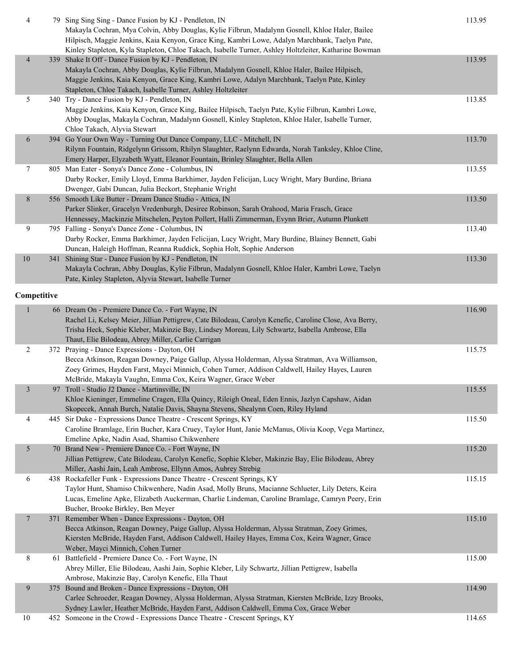| 4              | 79 Sing Sing Sing - Dance Fusion by KJ - Pendleton, IN<br>Makayla Cochran, Mya Colvin, Abby Douglas, Kylie Filbrun, Madalynn Gosnell, Khloe Haler, Bailee<br>Hilpisch, Maggie Jenkins, Kaia Kenyon, Grace King, Kambri Lowe, Adalyn Marchbank, Taelyn Pate,<br>Kinley Stapleton, Kyla Stapleton, Chloe Takach, Isabelle Turner, Ashley Holtzleiter, Katharine Bowman | 113.95 |
|----------------|----------------------------------------------------------------------------------------------------------------------------------------------------------------------------------------------------------------------------------------------------------------------------------------------------------------------------------------------------------------------|--------|
| $\overline{4}$ | 339 Shake It Off - Dance Fusion by KJ - Pendleton, IN<br>Makayla Cochran, Abby Douglas, Kylie Filbrun, Madalynn Gosnell, Khloe Haler, Bailee Hilpisch,<br>Maggie Jenkins, Kaia Kenyon, Grace King, Kambri Lowe, Adalyn Marchbank, Taelyn Pate, Kinley<br>Stapleton, Chloe Takach, Isabelle Turner, Ashley Holtzleiter                                                | 113.95 |
| 5              | 340 Try - Dance Fusion by KJ - Pendleton, IN<br>Maggie Jenkins, Kaia Kenyon, Grace King, Bailee Hilpisch, Taelyn Pate, Kylie Filbrun, Kambri Lowe,<br>Abby Douglas, Makayla Cochran, Madalynn Gosnell, Kinley Stapleton, Khloe Haler, Isabelle Turner,<br>Chloe Takach, Alyvia Stewart                                                                               | 113.85 |
| 6              | 394 Go Your Own Way - Turning Out Dance Company, LLC - Mitchell, IN<br>Rilynn Fountain, Ridgelynn Grissom, Rhilyn Slaughter, Raelynn Edwarda, Norah Tanksley, Khloe Cline,<br>Emery Harper, Elyzabeth Wyatt, Eleanor Fountain, Brinley Slaughter, Bella Allen                                                                                                        | 113.70 |
| $\tau$         | 805 Man Eater - Sonya's Dance Zone - Columbus, IN<br>Darby Rocker, Emily Lloyd, Emma Barkhimer, Jayden Felicijan, Lucy Wright, Mary Burdine, Briana<br>Dwenger, Gabi Duncan, Julia Beckort, Stephanie Wright                                                                                                                                                         | 113.55 |
| 8              | 556 Smooth Like Butter - Dream Dance Studio - Attica, IN<br>Parker Slinker, Gracelyn Vredenburgh, Desiree Robinson, Sarah Orahood, Maria Frasch, Grace<br>Hennessey, Mackinzie Mitschelen, Peyton Pollert, Halli Zimmerman, Evynn Brier, Autumn Plunkett                                                                                                             | 113.50 |
| 9              | 795 Falling - Sonya's Dance Zone - Columbus, IN<br>Darby Rocker, Emma Barkhimer, Jayden Felicijan, Lucy Wright, Mary Burdine, Blainey Bennett, Gabi<br>Duncan, Haleigh Hoffman, Reanna Ruddick, Sophia Holt, Sophie Anderson                                                                                                                                         | 113.40 |
| $10\,$         | 341 Shining Star - Dance Fusion by KJ - Pendleton, IN<br>Makayla Cochran, Abby Douglas, Kylie Filbrun, Madalynn Gosnell, Khloe Haler, Kambri Lowe, Taelyn<br>Pate, Kinley Stapleton, Alyvia Stewart, Isabelle Turner                                                                                                                                                 | 113.30 |
| Competitive    |                                                                                                                                                                                                                                                                                                                                                                      |        |
| 1              | 66 Dream On - Premiere Dance Co. - Fort Wayne, IN<br>Rachel Li, Kelsey Meier, Jillian Pettigrew, Cate Bilodeau, Carolyn Kenefic, Caroline Close, Ava Berry,<br>Trisha Heck, Sophie Kleber, Makinzie Bay, Lindsey Moreau, Lily Schwartz, Isabella Ambrose, Ella<br>Thaut, Elie Bilodeau, Abrey Miller, Carlie Carrigan                                                | 116.90 |
| 2              | 372 Praying - Dance Expressions - Dayton, OH<br>Becca Atkinson, Reagan Downey, Paige Gallup, Alyssa Holderman, Alyssa Stratman, Ava Williamson,<br>Zoey Grimes, Hayden Farst, Mayci Minnich, Cohen Turner, Addison Caldwell, Hailey Hayes, Lauren<br>McBride, Makayla Vaughn, Emma Cox, Keira Wagner, Grace Weber                                                    | 115.75 |
| 3              | 97 Troll - Studio J2 Dance - Martinsville, IN<br>Khloe Kieninger, Emmeline Cragen, Ella Quincy, Rileigh Oneal, Eden Ennis, Jazlyn Capshaw, Aidan<br>Skopecek, Annah Burch, Natalie Davis, Shayna Stevens, Shealynn Coen, Riley Hyland                                                                                                                                | 115.55 |
| 4              | 445 Sir Duke - Expressions Dance Theatre - Crescent Springs, KY<br>Caroline Bramlage, Erin Bucher, Kara Cruey, Taylor Hunt, Janie McManus, Olivia Koop, Vega Martinez,<br>Emeline Apke, Nadin Asad, Shamiso Chikwenhere                                                                                                                                              | 115.50 |
| 5              | 70 Brand New - Premiere Dance Co. - Fort Wayne, IN<br>Jillian Pettigrew, Cate Bilodeau, Carolyn Kenefic, Sophie Kleber, Makinzie Bay, Elie Bilodeau, Abrey<br>Miller, Aashi Jain, Leah Ambrose, Ellynn Amos, Aubrey Strebig                                                                                                                                          | 115.20 |
| 6              | 438 Rockafeller Funk - Expressions Dance Theatre - Crescent Springs, KY<br>Taylor Hunt, Shamiso Chikwenhere, Nadin Asad, Molly Bruns, Macianne Schlueter, Lily Deters, Keira<br>Lucas, Emeline Apke, Elizabeth Auckerman, Charlie Lindeman, Caroline Bramlage, Camryn Peery, Erin<br>Bucher, Brooke Birkley, Ben Meyer                                               | 115.15 |
| $\overline{7}$ | 371 Remember When - Dance Expressions - Dayton, OH<br>Becca Atkinson, Reagan Downey, Paige Gallup, Alyssa Holderman, Alyssa Stratman, Zoey Grimes,<br>Kiersten McBride, Hayden Farst, Addison Caldwell, Hailey Hayes, Emma Cox, Keira Wagner, Grace<br>Weber, Mayci Minnich, Cohen Turner                                                                            | 115.10 |
| 8              | 61 Battlefield - Premiere Dance Co. - Fort Wayne, IN<br>Abrey Miller, Elie Bilodeau, Aashi Jain, Sophie Kleber, Lily Schwartz, Jillian Pettigrew, Isabella<br>Ambrose, Makinzie Bay, Carolyn Kenefic, Ella Thaut                                                                                                                                                     | 115.00 |
| 9              | 375 Bound and Broken - Dance Expressions - Dayton, OH<br>Carlee Schroeder, Reagan Downey, Alyssa Holderman, Alyssa Stratman, Kiersten McBride, Izzy Brooks,<br>Sydney Lawler, Heather McBride, Hayden Farst, Addison Caldwell, Emma Cox, Grace Weber                                                                                                                 | 114.90 |
| 10             | 452 Someone in the Crowd - Expressions Dance Theatre - Crescent Springs, KY                                                                                                                                                                                                                                                                                          | 114.65 |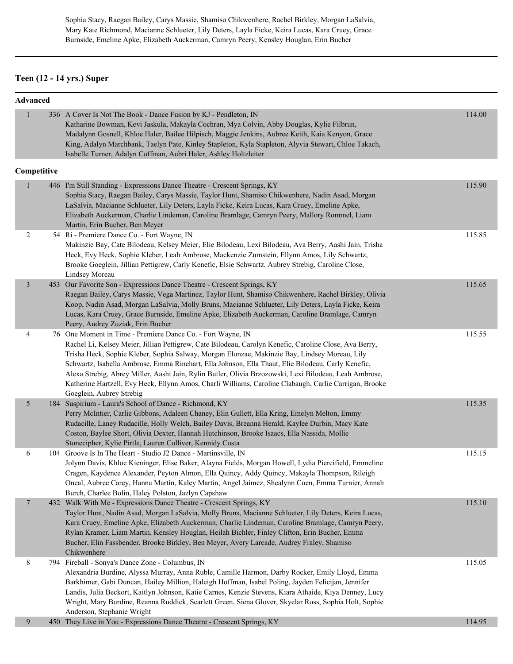Sophia Stacy, Raegan Bailey, Carys Massie, Shamiso Chikwenhere, Rachel Birkley, Morgan LaSalvia, Mary Kate Richmond, Macianne Schlueter, Lily Deters, Layla Ficke, Keira Lucas, Kara Cruey, Grace Burnside, Emeline Apke, Elizabeth Auckerman, Camryn Peery, Kensley Houglan, Erin Bucher

## **Teen (12 - 14 yrs.) Super**

| <b>Advanced</b> |                                                                                                                                                                                                                                                                                                                                                                                                                                                                                                                                                                                                                              |        |
|-----------------|------------------------------------------------------------------------------------------------------------------------------------------------------------------------------------------------------------------------------------------------------------------------------------------------------------------------------------------------------------------------------------------------------------------------------------------------------------------------------------------------------------------------------------------------------------------------------------------------------------------------------|--------|
| 1               | 336 A Cover Is Not The Book - Dance Fusion by KJ - Pendleton, IN<br>Katharine Bowman, Kevi Jaskula, Makayla Cochran, Mya Colvin, Abby Douglas, Kylie Filbrun,<br>Madalynn Gosnell, Khloe Haler, Bailee Hilpisch, Maggie Jenkins, Aubree Keith, Kaia Kenyon, Grace<br>King, Adalyn Marchbank, Taelyn Pate, Kinley Stapleton, Kyla Stapleton, Alyvia Stewart, Chloe Takach,<br>Isabelle Turner, Adalyn Coffman, Aubri Haler, Ashley Holtzleiter                                                                                                                                                                                | 114.00 |
| Competitive     |                                                                                                                                                                                                                                                                                                                                                                                                                                                                                                                                                                                                                              |        |
|                 | 446 I'm Still Standing - Expressions Dance Theatre - Crescent Springs, KY<br>Sophia Stacy, Raegan Bailey, Carys Massie, Taylor Hunt, Shamiso Chikwenhere, Nadin Asad, Morgan<br>LaSalvia, Macianne Schlueter, Lily Deters, Layla Ficke, Keira Lucas, Kara Cruey, Emeline Apke,<br>Elizabeth Auckerman, Charlie Lindeman, Caroline Bramlage, Camryn Peery, Mallory Rommel, Liam<br>Martin, Erin Bucher, Ben Meyer                                                                                                                                                                                                             | 115.90 |
| 2               | 54 Ri - Premiere Dance Co. - Fort Wayne, IN<br>Makinzie Bay, Cate Bilodeau, Kelsey Meier, Elie Bilodeau, Lexi Bilodeau, Ava Berry, Aashi Jain, Trisha<br>Heck, Evy Heck, Sophie Kleber, Leah Ambrose, Mackenzie Zumstein, Ellynn Amos, Lily Schwartz,<br>Brooke Goeglein, Jillian Pettigrew, Carly Kenefic, Elsie Schwartz, Aubrey Strebig, Caroline Close,<br>Lindsey Moreau                                                                                                                                                                                                                                                | 115.85 |
| 3               | 453 Our Favorite Son - Expressions Dance Theatre - Crescent Springs, KY<br>Raegan Bailey, Carys Massie, Vega Martinez, Taylor Hunt, Shamiso Chikwenhere, Rachel Birkley, Olivia<br>Koop, Nadin Asad, Morgan LaSalvia, Molly Bruns, Macianne Schlueter, Lily Deters, Layla Ficke, Keira<br>Lucas, Kara Cruey, Grace Burnside, Emeline Apke, Elizabeth Auckerman, Caroline Bramlage, Camryn<br>Peery, Audrey Zuziak, Erin Bucher                                                                                                                                                                                               | 115.65 |
| 4               | 76 One Moment in Time - Premiere Dance Co. - Fort Wayne, IN<br>Rachel Li, Kelsey Meier, Jillian Pettigrew, Cate Bilodeau, Carolyn Kenefic, Caroline Close, Ava Berry,<br>Trisha Heck, Sophie Kleber, Sophia Salway, Morgan Elonzae, Makinzie Bay, Lindsey Moreau, Lily<br>Schwartz, Isabella Ambrose, Emma Rinehart, Ella Johnson, Ella Thaut, Elie Bilodeau, Carly Kenefic,<br>Alexa Strebig, Abrey Miller, Aashi Jain, Rylin Butler, Olivia Brzozowski, Lexi Bilodeau, Leah Ambrose,<br>Katherine Hartzell, Evy Heck, Ellynn Amos, Charli Williams, Caroline Clabaugh, Carlie Carrigan, Brooke<br>Goeglein, Aubrey Strebig | 115.55 |
| 5               | 184 Suspirium - Laura's School of Dance - Richmond, KY<br>Perry McIntier, Carlie Gibbons, Adaleen Chaney, Elin Gullett, Ella Kring, Emelyn Melton, Emmy<br>Rudacille, Laney Rudacille, Holly Welch, Bailey Davis, Breanna Herald, Kaylee Durbin, Macy Kate<br>Coston, Baylee Short, Olivia Dexter, Hannah Hutchinson, Brooke Isaacs, Ella Nassida, Mollie<br>Stonecipher, Kylie Pirtle, Lauren Colliver, Kennidy Costa                                                                                                                                                                                                       | 115.35 |
| 6               | 104 Groove Is In The Heart - Studio J2 Dance - Martinsville, IN<br>Jolynn Davis, Khloe Kieninger, Elise Baker, Alayna Fields, Morgan Howell, Lydia Piercifield, Emmeline<br>Cragen, Kaydence Alexander, Peyton Almon, Ella Quincy, Addy Quincy, Makayla Thompson, Rileigh<br>Oneal, Aubree Carey, Hanna Martin, Kaley Martin, Angel Jaimez, Shealynn Coen, Emma Turnier, Annah<br>Burch, Charlee Bolin, Haley Polston, Jazlyn Capshaw                                                                                                                                                                                        | 115.15 |
| $\overline{7}$  | 432 Walk With Me - Expressions Dance Theatre - Crescent Springs, KY<br>Taylor Hunt, Nadin Asad, Morgan LaSalvia, Molly Bruns, Macianne Schlueter, Lily Deters, Keira Lucas,<br>Kara Cruey, Emeline Apke, Elizabeth Auckerman, Charlie Lindeman, Caroline Bramlage, Camryn Peery,<br>Rylan Kramer, Liam Martin, Kensley Houglan, Heilah Bichler, Finley Clifton, Erin Bucher, Emma<br>Bucher, Elin Fassbender, Brooke Birkley, Ben Meyer, Avery Larcade, Audrey Fraley, Shamiso<br>Chikwenhere                                                                                                                                | 115.10 |
| 8               | 794 Fireball - Sonya's Dance Zone - Columbus, IN<br>Alexandria Burdine, Alyssa Murray, Anna Ruble, Camille Harmon, Darby Rocker, Emily Lloyd, Emma<br>Barkhimer, Gabi Duncan, Hailey Million, Haleigh Hoffman, Isabel Poling, Jayden Felicijan, Jennifer<br>Landis, Julia Beckort, Kaitlyn Johnson, Katie Carnes, Kenzie Stevens, Kiara Athaide, Kiya Denney, Lucy<br>Wright, Mary Burdine, Reanna Ruddick, Scarlett Green, Siena Glover, Skyelar Ross, Sophia Holt, Sophie<br>Anderson, Stephanie Wright                                                                                                                    | 115.05 |
| 9               | 450 They Live in You - Expressions Dance Theatre - Crescent Springs, KY                                                                                                                                                                                                                                                                                                                                                                                                                                                                                                                                                      | 114.95 |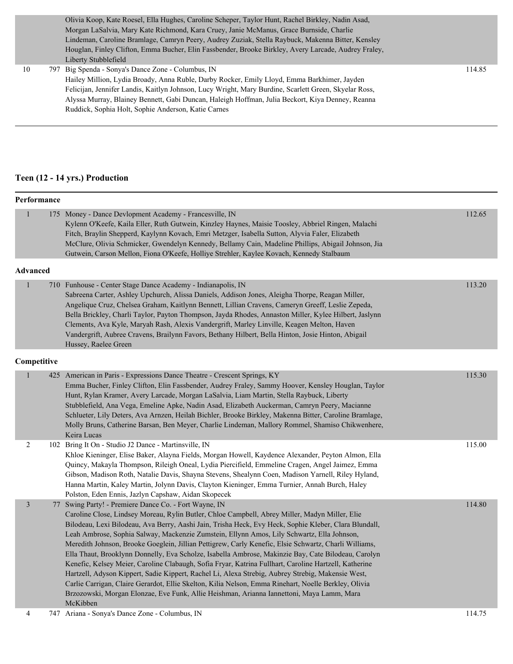|    | Olivia Koop, Kate Roesel, Ella Hughes, Caroline Scheper, Taylor Hunt, Rachel Birkley, Nadin Asad,     |        |
|----|-------------------------------------------------------------------------------------------------------|--------|
|    | Morgan LaSalvia, Mary Kate Richmond, Kara Cruey, Janie McManus, Grace Burnside, Charlie               |        |
|    | Lindeman, Caroline Bramlage, Camryn Peery, Audrey Zuziak, Stella Raybuck, Makenna Bitter, Kensley     |        |
|    | Houglan, Finley Clifton, Emma Bucher, Elin Fassbender, Brooke Birkley, Avery Larcade, Audrey Fraley,  |        |
|    | Liberty Stubblefield                                                                                  |        |
| 10 | 797 Big Spenda - Sonya's Dance Zone - Columbus, IN                                                    | 114.85 |
|    | Hailey Million, Lydia Broady, Anna Ruble, Darby Rocker, Emily Lloyd, Emma Barkhimer, Jayden           |        |
|    | Felicijan, Jennifer Landis, Kaitlyn Johnson, Lucy Wright, Mary Burdine, Scarlett Green, Skyelar Ross, |        |
|    | Alyssa Murray, Blainey Bennett, Gabi Duncan, Haleigh Hoffman, Julia Beckort, Kiya Denney, Reanna      |        |
|    | Ruddick, Sophia Holt, Sophie Anderson, Katie Carnes                                                   |        |
|    |                                                                                                       |        |
|    |                                                                                                       |        |

## **Teen (12 - 14 yrs.) Production**

|                 | Performance |                                                                                                                                                                                                                                                                                                                                                                                                                                                                                                                                                                                                                                                                                                                                                                                                                                                                                                                                                                                                               |        |  |  |  |
|-----------------|-------------|---------------------------------------------------------------------------------------------------------------------------------------------------------------------------------------------------------------------------------------------------------------------------------------------------------------------------------------------------------------------------------------------------------------------------------------------------------------------------------------------------------------------------------------------------------------------------------------------------------------------------------------------------------------------------------------------------------------------------------------------------------------------------------------------------------------------------------------------------------------------------------------------------------------------------------------------------------------------------------------------------------------|--------|--|--|--|
| 1               |             | 175 Money - Dance Devlopment Academy - Francesville, IN<br>Kylenn O'Keefe, Kaila Eller, Ruth Gutwein, Kinzley Haynes, Maisie Toosley, Abbriel Ringen, Malachi<br>Fitch, Braylin Shepperd, Kaylynn Kovach, Emri Metzger, Isabella Sutton, Alyvia Faler, Elizabeth<br>McClure, Olivia Schmicker, Gwendelyn Kennedy, Bellamy Cain, Madeline Phillips, Abigail Johnson, Jia<br>Gutwein, Carson Mellon, Fiona O'Keefe, Holliye Strehler, Kaylee Kovach, Kennedy Stalbaum                                                                                                                                                                                                                                                                                                                                                                                                                                                                                                                                           | 112.65 |  |  |  |
| <b>Advanced</b> |             |                                                                                                                                                                                                                                                                                                                                                                                                                                                                                                                                                                                                                                                                                                                                                                                                                                                                                                                                                                                                               |        |  |  |  |
| $\mathbf{1}$    |             | 710 Funhouse - Center Stage Dance Academy - Indianapolis, IN<br>Sabreena Carter, Ashley Upchurch, Alissa Daniels, Addison Jones, Aleigha Thorpe, Reagan Miller,<br>Angelique Cruz, Chelsea Graham, Kaitlynn Bennett, Lillian Cravens, Cameryn Greeff, Leslie Zepeda,<br>Bella Brickley, Charli Taylor, Payton Thompson, Jayda Rhodes, Annaston Miller, Kylee Hilbert, Jaslynn<br>Clements, Ava Kyle, Maryah Rash, Alexis Vandergrift, Marley Linville, Keagen Melton, Haven<br>Vandergrift, Aubree Cravens, Brailynn Favors, Bethany Hilbert, Bella Hinton, Josie Hinton, Abigail<br>Hussey, Raelee Green                                                                                                                                                                                                                                                                                                                                                                                                     | 113.20 |  |  |  |
|                 | Competitive |                                                                                                                                                                                                                                                                                                                                                                                                                                                                                                                                                                                                                                                                                                                                                                                                                                                                                                                                                                                                               |        |  |  |  |
| $\mathbf{1}$    |             | 425 American in Paris - Expressions Dance Theatre - Crescent Springs, KY<br>Emma Bucher, Finley Clifton, Elin Fassbender, Audrey Fraley, Sammy Hoover, Kensley Houglan, Taylor<br>Hunt, Rylan Kramer, Avery Larcade, Morgan LaSalvia, Liam Martin, Stella Raybuck, Liberty<br>Stubblefield, Ana Vega, Emeline Apke, Nadin Asad, Elizabeth Auckerman, Camryn Peery, Macianne<br>Schlueter, Lily Deters, Ava Arnzen, Heilah Bichler, Brooke Birkley, Makenna Bitter, Caroline Bramlage,<br>Molly Bruns, Catherine Barsan, Ben Meyer, Charlie Lindeman, Mallory Rommel, Shamiso Chikwenhere,<br>Keira Lucas                                                                                                                                                                                                                                                                                                                                                                                                      | 115.30 |  |  |  |
| $\overline{c}$  |             | 102 Bring It On - Studio J2 Dance - Martinsville, IN<br>Khloe Kieninger, Elise Baker, Alayna Fields, Morgan Howell, Kaydence Alexander, Peyton Almon, Ella<br>Quincy, Makayla Thompson, Rileigh Oneal, Lydia Piercifield, Emmeline Cragen, Angel Jaimez, Emma<br>Gibson, Madison Roth, Natalie Davis, Shayna Stevens, Shealynn Coen, Madison Yarnell, Riley Hyland,<br>Hanna Martin, Kaley Martin, Jolynn Davis, Clayton Kieninger, Emma Turnier, Annah Burch, Haley<br>Polston, Eden Ennis, Jazlyn Capshaw, Aidan Skopecek                                                                                                                                                                                                                                                                                                                                                                                                                                                                                   | 115.00 |  |  |  |
| 3               |             | 77 Swing Party! - Premiere Dance Co. - Fort Wayne, IN<br>Caroline Close, Lindsey Moreau, Rylin Butler, Chloe Campbell, Abrey Miller, Madyn Miller, Elie<br>Bilodeau, Lexi Bilodeau, Ava Berry, Aashi Jain, Trisha Heck, Evy Heck, Sophie Kleber, Clara Blundall,<br>Leah Ambrose, Sophia Salway, Mackenzie Zumstein, Ellynn Amos, Lily Schwartz, Ella Johnson,<br>Meredith Johnson, Brooke Goeglein, Jillian Pettigrew, Carly Kenefic, Elsie Schwartz, Charli Williams,<br>Ella Thaut, Brooklynn Donnelly, Eva Scholze, Isabella Ambrose, Makinzie Bay, Cate Bilodeau, Carolyn<br>Kenefic, Kelsey Meier, Caroline Clabaugh, Sofia Fryar, Katrina Fullhart, Caroline Hartzell, Katherine<br>Hartzell, Adyson Kippert, Sadie Kippert, Rachel Li, Alexa Strebig, Aubrey Strebig, Makensie West,<br>Carlie Carrigan, Claire Gerardot, Ellie Skelton, Kilia Nelson, Emma Rinehart, Noelle Berkley, Olivia<br>Brzozowski, Morgan Elonzae, Eve Funk, Allie Heishman, Arianna Iannettoni, Maya Lamm, Mara<br>McKibben | 114.80 |  |  |  |
| $\overline{4}$  |             | 747 Ariana - Sonya's Dance Zone - Columbus, IN                                                                                                                                                                                                                                                                                                                                                                                                                                                                                                                                                                                                                                                                                                                                                                                                                                                                                                                                                                | 114.75 |  |  |  |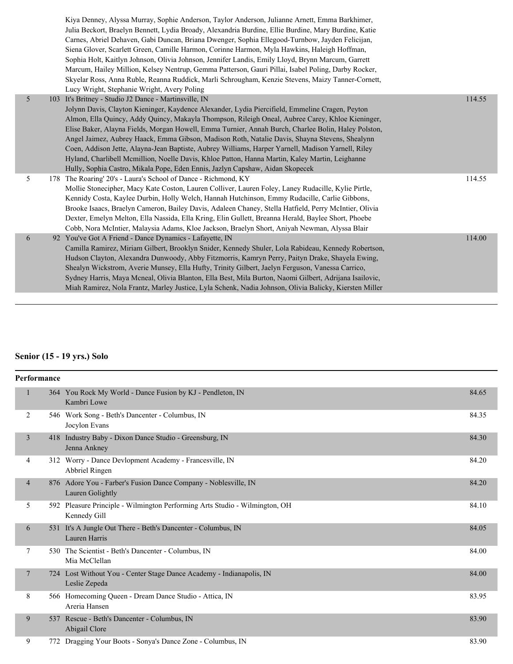|   | Kiya Denney, Alyssa Murray, Sophie Anderson, Taylor Anderson, Julianne Arnett, Emma Barkhimer,<br>Julia Beckort, Braelyn Bennett, Lydia Broady, Alexandria Burdine, Ellie Burdine, Mary Burdine, Katie<br>Carnes, Abriel Dehaven, Gabi Duncan, Briana Dwenger, Sophia Ellegood-Turnbow, Jayden Felicijan,<br>Siena Glover, Scarlett Green, Camille Harmon, Corinne Harmon, Myla Hawkins, Haleigh Hoffman,<br>Sophia Holt, Kaitlyn Johnson, Olivia Johnson, Jennifer Landis, Emily Lloyd, Brynn Marcum, Garrett<br>Marcum, Hailey Million, Kelsey Nentrup, Gemma Patterson, Gauri Pillai, Isabel Poling, Darby Rocker,<br>Skyelar Ross, Anna Ruble, Reanna Ruddick, Marli Schrougham, Kenzie Stevens, Maizy Tanner-Cornett,<br>Lucy Wright, Stephanie Wright, Avery Poling |        |
|---|---------------------------------------------------------------------------------------------------------------------------------------------------------------------------------------------------------------------------------------------------------------------------------------------------------------------------------------------------------------------------------------------------------------------------------------------------------------------------------------------------------------------------------------------------------------------------------------------------------------------------------------------------------------------------------------------------------------------------------------------------------------------------|--------|
| 5 | 103 It's Britney - Studio J2 Dance - Martinsville, IN<br>Jolynn Davis, Clayton Kieninger, Kaydence Alexander, Lydia Piercifield, Emmeline Cragen, Peyton<br>Almon, Ella Quincy, Addy Quincy, Makayla Thompson, Rileigh Oneal, Aubree Carey, Khloe Kieninger,<br>Elise Baker, Alayna Fields, Morgan Howell, Emma Turnier, Annah Burch, Charlee Bolin, Haley Polston,<br>Angel Jaimez, Aubrey Haack, Emma Gibson, Madison Roth, Natalie Davis, Shayna Stevens, Shealynn<br>Coen, Addison Jette, Alayna-Jean Baptiste, Aubrey Williams, Harper Yarnell, Madison Yarnell, Riley<br>Hyland, Charlibell Mcmillion, Noelle Davis, Khloe Patton, Hanna Martin, Kaley Martin, Leighanne<br>Hully, Sophia Castro, Mikala Pope, Eden Ennis, Jazlyn Capshaw, Aidan Skopecek           | 114.55 |
| 5 | 178 The Roaring' 20's - Laura's School of Dance - Richmond, KY<br>Mollie Stonecipher, Macy Kate Coston, Lauren Colliver, Lauren Foley, Laney Rudacille, Kylie Pirtle,<br>Kennidy Costa, Kaylee Durbin, Holly Welch, Hannah Hutchinson, Emmy Rudacille, Carlie Gibbons,<br>Brooke Isaacs, Braelyn Cameron, Bailey Davis, Adaleen Chaney, Stella Hatfield, Perry McIntier, Olivia<br>Dexter, Emelyn Melton, Ella Nassida, Ella Kring, Elin Gullett, Breanna Herald, Baylee Short, Phoebe<br>Cobb, Nora McIntier, Malaysia Adams, Kloe Jackson, Braelyn Short, Aniyah Newman, Alyssa Blair                                                                                                                                                                                   | 114.55 |
| 6 | 92 You've Got A Friend - Dance Dynamics - Lafayette, IN<br>Camilla Ramirez, Miriam Gilbert, Brooklyn Snider, Kennedy Shuler, Lola Rabideau, Kennedy Robertson,<br>Hudson Clayton, Alexandra Dunwoody, Abby Fitzmorris, Kamryn Perry, Paityn Drake, Shayela Ewing,<br>Shealyn Wickstrom, Averie Munsey, Ella Hufty, Trinity Gilbert, Jaelyn Ferguson, Vanessa Carrico,<br>Sydney Harris, Maya Mcneal, Olivia Blanton, Ella Best, Mila Burton, Naomi Gilbert, Adrijana Isailovic,<br>Miah Ramirez, Nola Frantz, Marley Justice, Lyla Schenk, Nadia Johnson, Olivia Balicky, Kiersten Miller                                                                                                                                                                                 | 114.00 |

## **Senior (15 - 19 yrs.) Solo**

| <b>Performance</b> |                                                                                             |       |
|--------------------|---------------------------------------------------------------------------------------------|-------|
| $\mathbf{1}$       | 364 You Rock My World - Dance Fusion by KJ - Pendleton, IN<br>Kambri Lowe                   | 84.65 |
| 2                  | 546 Work Song - Beth's Dancenter - Columbus, IN<br>Jocylon Evans                            | 84.35 |
| 3                  | 418 Industry Baby - Dixon Dance Studio - Greensburg, IN<br>Jenna Ankney                     | 84.30 |
| 4                  | 312 Worry - Dance Devlopment Academy - Francesville, IN<br>Abbriel Ringen                   | 84.20 |
| $\overline{4}$     | 876 Adore You - Farber's Fusion Dance Company - Noblesville, IN<br>Lauren Golightly         | 84.20 |
| 5                  | 592 Pleasure Principle - Wilmington Performing Arts Studio - Wilmington, OH<br>Kennedy Gill | 84.10 |
| 6                  | 531 It's A Jungle Out There - Beth's Dancenter - Columbus, IN<br>Lauren Harris              | 84.05 |
| 7                  | 530 The Scientist - Beth's Dancenter - Columbus, IN<br>Mia McClellan                        | 84.00 |
| $\overline{7}$     | 724 Lost Without You - Center Stage Dance Academy - Indianapolis, IN<br>Leslie Zepeda       | 84.00 |
| 8                  | 566 Homecoming Queen - Dream Dance Studio - Attica, IN<br>Areria Hansen                     | 83.95 |
| 9                  | 537 Rescue - Beth's Dancenter - Columbus, IN<br>Abigail Clore                               | 83.90 |
| 9                  | 772 Dragging Your Boots - Sonya's Dance Zone - Columbus, IN                                 | 83.90 |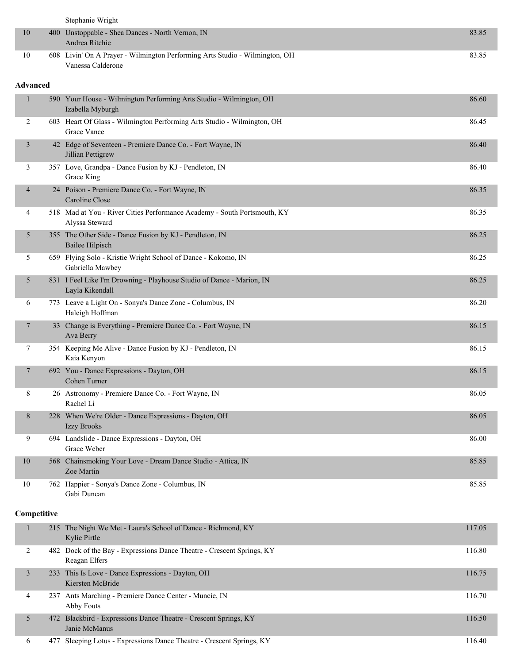|                 | Stephanie Wright                                                                                 |        |
|-----------------|--------------------------------------------------------------------------------------------------|--------|
| 10              | 400 Unstoppable - Shea Dances - North Vernon, IN<br>Andrea Ritchie                               | 83.85  |
| 10              | 608 Livin' On A Prayer - Wilmington Performing Arts Studio - Wilmington, OH<br>Vanessa Calderone | 83.85  |
| <b>Advanced</b> |                                                                                                  |        |
| $\mathbf{1}$    | 590 Your House - Wilmington Performing Arts Studio - Wilmington, OH<br>Izabella Myburgh          | 86.60  |
| 2               | 603 Heart Of Glass - Wilmington Performing Arts Studio - Wilmington, OH<br>Grace Vance           | 86.45  |
| 3               | 42 Edge of Seventeen - Premiere Dance Co. - Fort Wayne, IN<br>Jillian Pettigrew                  | 86.40  |
| 3               | 357 Love, Grandpa - Dance Fusion by KJ - Pendleton, IN<br>Grace King                             | 86.40  |
| 4               | 24 Poison - Premiere Dance Co. - Fort Wayne, IN<br>Caroline Close                                | 86.35  |
| 4               | 518 Mad at You - River Cities Performance Academy - South Portsmouth, KY<br>Alyssa Steward       | 86.35  |
| 5               | 355 The Other Side - Dance Fusion by KJ - Pendleton, IN<br>Bailee Hilpisch                       | 86.25  |
| 5               | 659 Flying Solo - Kristie Wright School of Dance - Kokomo, IN<br>Gabriella Mawbey                | 86.25  |
| 5               | 831 I Feel Like I'm Drowning - Playhouse Studio of Dance - Marion, IN<br>Layla Kikendall         | 86.25  |
| 6               | 773 Leave a Light On - Sonya's Dance Zone - Columbus, IN<br>Haleigh Hoffman                      | 86.20  |
| $\tau$          | 33 Change is Everything - Premiere Dance Co. - Fort Wayne, IN<br>Ava Berry                       | 86.15  |
| 7               | 354 Keeping Me Alive - Dance Fusion by KJ - Pendleton, IN<br>Kaia Kenyon                         | 86.15  |
| 7               | 692 You - Dance Expressions - Dayton, OH<br>Cohen Turner                                         | 86.15  |
| 8               | 26 Astronomy - Premiere Dance Co. - Fort Wayne, IN<br>Rachel Li                                  | 86.05  |
| 8               | 228 When We're Older - Dance Expressions - Dayton, OH<br>Izzy Brooks                             | 86.05  |
| 9               | 694 Landslide - Dance Expressions - Dayton, OH<br>Grace Weber                                    | 86.00  |
| 10              | 568 Chainsmoking Your Love - Dream Dance Studio - Attica, IN<br>Zoe Martin                       | 85.85  |
| 10              | 762 Happier - Sonya's Dance Zone - Columbus, IN<br>Gabi Duncan                                   | 85.85  |
| Competitive     |                                                                                                  |        |
| $\mathbf{1}$    | 215 The Night We Met - Laura's School of Dance - Richmond, KY<br>Kylie Pirtle                    | 117.05 |
| 2               | 482 Dock of the Bay - Expressions Dance Theatre - Crescent Springs, KY<br>Reagan Elfers          | 116.80 |
| $\mathfrak{Z}$  | 233 This Is Love - Dance Expressions - Dayton, OH<br>Kiersten McBride                            | 116.75 |
| 4               | 237 Ants Marching - Premiere Dance Center - Muncie, IN<br>Abby Fouts                             | 116.70 |
| 5               | 472 Blackbird - Expressions Dance Theatre - Crescent Springs, KY<br>Janie McManus                | 116.50 |

6 477 Sleeping Lotus - Expressions Dance Theatre - Crescent Springs, KY 116.40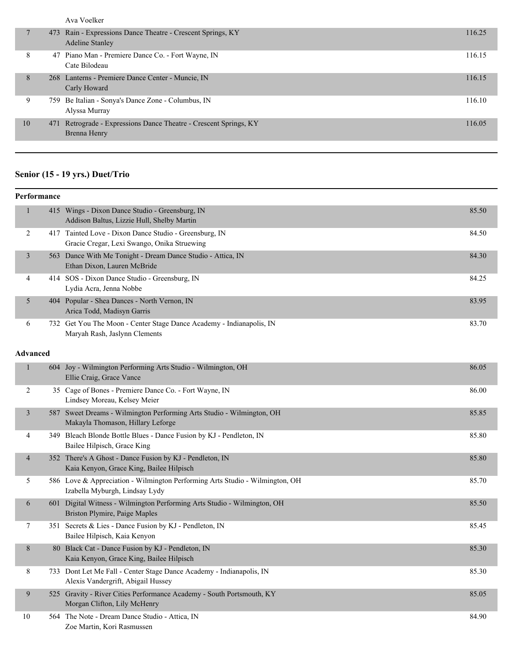Ava Voelker

|    |     | 473 Rain - Expressions Dance Theatre - Crescent Springs, KY<br><b>Adeline Stanley</b> | 116.25 |
|----|-----|---------------------------------------------------------------------------------------|--------|
| 8  |     | 47 Piano Man - Premiere Dance Co. - Fort Wayne, IN<br>Cate Bilodeau                   | 116.15 |
| 8  |     | 268 Lanterns - Premiere Dance Center - Muncie, IN<br>Carly Howard                     | 116.15 |
| 9  |     | 759 Be Italian - Sonya's Dance Zone - Columbus, IN<br>Alyssa Murray                   | 116.10 |
| 10 | 471 | Retrograde - Expressions Dance Theatre - Crescent Springs, KY<br>Brenna Henry         | 116.05 |

## **Senior (15 - 19 yrs.) Duet/Trio**

#### **Performance**

| $\mathbf{1}$            |                 | 415 Wings - Dixon Dance Studio - Greensburg, IN<br>Addison Baltus, Lizzie Hull, Shelby Martin                  | 85.50 |
|-------------------------|-----------------|----------------------------------------------------------------------------------------------------------------|-------|
| 2                       |                 | 417 Tainted Love - Dixon Dance Studio - Greensburg, IN<br>Gracie Cregar, Lexi Swango, Onika Struewing          | 84.50 |
| 3                       |                 | 563 Dance With Me Tonight - Dream Dance Studio - Attica, IN<br>Ethan Dixon, Lauren McBride                     | 84.30 |
| 4                       |                 | 414 SOS - Dixon Dance Studio - Greensburg, IN<br>Lydia Acra, Jenna Nobbe                                       | 84.25 |
| 5                       |                 | 404 Popular - Shea Dances - North Vernon, IN<br>Arica Todd, Madisyn Garris                                     | 83.95 |
| 6                       |                 | 732 Get You The Moon - Center Stage Dance Academy - Indianapolis, IN<br>Maryah Rash, Jaslynn Clements          | 83.70 |
|                         | <b>Advanced</b> |                                                                                                                |       |
| $\mathbf{1}$            |                 | 604 Joy - Wilmington Performing Arts Studio - Wilmington, OH<br>Ellie Craig, Grace Vance                       | 86.05 |
| $\overline{2}$          |                 | 35 Cage of Bones - Premiere Dance Co. - Fort Wayne, IN<br>Lindsey Moreau, Kelsey Meier                         | 86.00 |
| $\overline{\mathbf{3}}$ |                 | 587 Sweet Dreams - Wilmington Performing Arts Studio - Wilmington, OH<br>Makayla Thomason, Hillary Leforge     | 85.85 |
| 4                       |                 | 349 Bleach Blonde Bottle Blues - Dance Fusion by KJ - Pendleton, IN<br>Bailee Hilpisch, Grace King             | 85.80 |
| 4                       |                 | 352 There's A Ghost - Dance Fusion by KJ - Pendleton, IN<br>Kaia Kenyon, Grace King, Bailee Hilpisch           | 85.80 |
| 5                       |                 | 586 Love & Appreciation - Wilmington Performing Arts Studio - Wilmington, OH<br>Izabella Myburgh, Lindsay Lydy | 85.70 |
| 6                       | 601             | Digital Witness - Wilmington Performing Arts Studio - Wilmington, OH<br>Briston Plymire, Paige Maples          | 85.50 |
| 7                       |                 | 351 Secrets & Lies - Dance Fusion by KJ - Pendleton, IN<br>Bailee Hilpisch, Kaia Kenyon                        | 85.45 |
| 8                       |                 | 80 Black Cat - Dance Fusion by KJ - Pendleton, IN<br>Kaia Kenyon, Grace King, Bailee Hilpisch                  | 85.30 |
| 8                       |                 | 733 Dont Let Me Fall - Center Stage Dance Academy - Indianapolis, IN<br>Alexis Vandergrift, Abigail Hussey     | 85.30 |
| 9                       |                 | 525 Gravity - River Cities Performance Academy - South Portsmouth, KY<br>Morgan Clifton, Lily McHenry          | 85.05 |
| 10                      |                 | 564 The Note - Dream Dance Studio - Attica, IN<br>Zoe Martin, Kori Rasmussen                                   | 84.90 |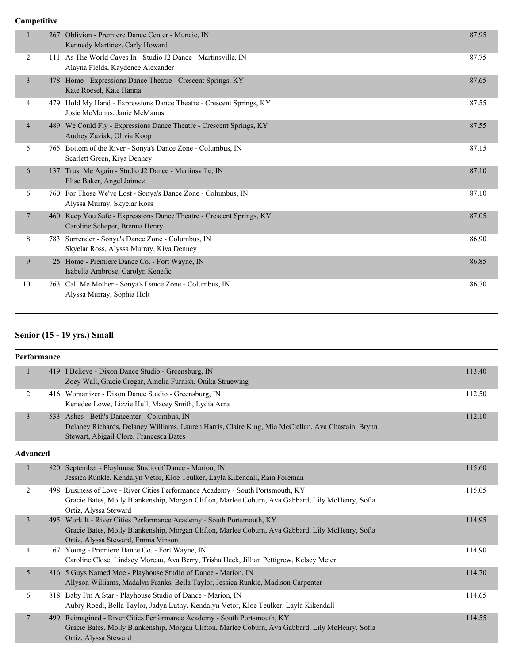|                |     | 267 Oblivion - Premiere Dance Center - Muncie, IN<br>Kennedy Martinez, Carly Howard                    | 87.95 |
|----------------|-----|--------------------------------------------------------------------------------------------------------|-------|
| 2              | 111 | As The World Caves In - Studio J2 Dance - Martinsville, IN<br>Alayna Fields, Kaydence Alexander        | 87.75 |
| $\overline{3}$ |     | 478 Home - Expressions Dance Theatre - Crescent Springs, KY<br>Kate Roesel, Kate Hanna                 | 87.65 |
| 4              | 479 | Hold My Hand - Expressions Dance Theatre - Crescent Springs, KY<br>Josie McManus, Janie McManus        | 87.55 |
| 4              |     | 489 We Could Fly - Expressions Dance Theatre - Crescent Springs, KY<br>Audrey Zuziak, Olivia Koop      | 87.55 |
| 5              |     | 765 Bottom of the River - Sonya's Dance Zone - Columbus, IN<br>Scarlett Green, Kiya Denney             | 87.15 |
| 6              | 137 | Trust Me Again - Studio J2 Dance - Martinsville, IN<br>Elise Baker, Angel Jaimez                       | 87.10 |
| 6              |     | 760 For Those We've Lost - Sonya's Dance Zone - Columbus, IN<br>Alyssa Murray, Skyelar Ross            | 87.10 |
| 7              |     | 460 Keep You Safe - Expressions Dance Theatre - Crescent Springs, KY<br>Caroline Scheper, Brenna Henry | 87.05 |
| 8              |     | 783 Surrender - Sonya's Dance Zone - Columbus, IN<br>Skyelar Ross, Alyssa Murray, Kiya Denney          | 86.90 |
| 9              |     | 25 Home - Premiere Dance Co. - Fort Wayne, IN<br>Isabella Ambrose, Carolyn Kenefic                     | 86.85 |
| 10             |     | 763 Call Me Mother - Sonya's Dance Zone - Columbus, IN<br>Alyssa Murray, Sophia Holt                   | 86.70 |

# **Senior (15 - 19 yrs.) Small**

| <b>Performance</b> |                 |                                                                                                                                                                                                                 |        |
|--------------------|-----------------|-----------------------------------------------------------------------------------------------------------------------------------------------------------------------------------------------------------------|--------|
| 1                  |                 | 419 I Believe - Dixon Dance Studio - Greensburg, IN<br>Zoey Wall, Gracie Cregar, Amelia Furnish, Onika Struewing                                                                                                | 113.40 |
| 2                  |                 | 416 Womanizer - Dixon Dance Studio - Greensburg, IN<br>Kenedee Lowe, Lizzie Hull, Macey Smith, Lydia Acra                                                                                                       | 112.50 |
| $\overline{3}$     |                 | 533 Ashes - Beth's Dancenter - Columbus, IN<br>Delaney Richards, Delaney Williams, Lauren Harris, Claire King, Mia McClellan, Ava Chastain, Brynn<br>Stewart, Abigail Clore, Francesca Bates                    | 112.10 |
|                    | <b>Advanced</b> |                                                                                                                                                                                                                 |        |
| $\mathbf{1}$       |                 | 820 September - Playhouse Studio of Dance - Marion, IN<br>Jessica Runkle, Kendalyn Vetor, Kloe Teulker, Layla Kikendall, Rain Foreman                                                                           | 115.60 |
| 2                  |                 | 498 Business of Love - River Cities Performance Academy - South Portsmouth, KY<br>Gracie Bates, Molly Blankenship, Morgan Clifton, Marlee Coburn, Ava Gabbard, Lily McHenry, Sofia<br>Ortiz, Alyssa Steward     | 115.05 |
| $\overline{3}$     |                 | 495 Work It - River Cities Performance Academy - South Portsmouth, KY<br>Gracie Bates, Molly Blankenship, Morgan Clifton, Marlee Coburn, Ava Gabbard, Lily McHenry, Sofia<br>Ortiz, Alyssa Steward, Emma Vinson | 114.95 |
| 4                  |                 | 67 Young - Premiere Dance Co. - Fort Wayne, IN<br>Caroline Close, Lindsey Moreau, Ava Berry, Trisha Heck, Jillian Pettigrew, Kelsey Meier                                                                       | 114.90 |
| 5                  |                 | 816 5 Guys Named Moe - Playhouse Studio of Dance - Marion, IN<br>Allyson Williams, Madalyn Franks, Bella Taylor, Jessica Runkle, Madison Carpenter                                                              | 114.70 |
| 6                  |                 | 818 Baby I'm A Star - Playhouse Studio of Dance - Marion, IN<br>Aubry Roedl, Bella Taylor, Jadyn Luthy, Kendalyn Vetor, Kloe Teulker, Layla Kikendall                                                           | 114.65 |
| $\overline{7}$     | 499             | Reimagined - River Cities Performance Academy - South Portsmouth, KY<br>Gracie Bates, Molly Blankenship, Morgan Clifton, Marlee Coburn, Ava Gabbard, Lily McHenry, Sofia<br>Ortiz, Alyssa Steward               | 114.55 |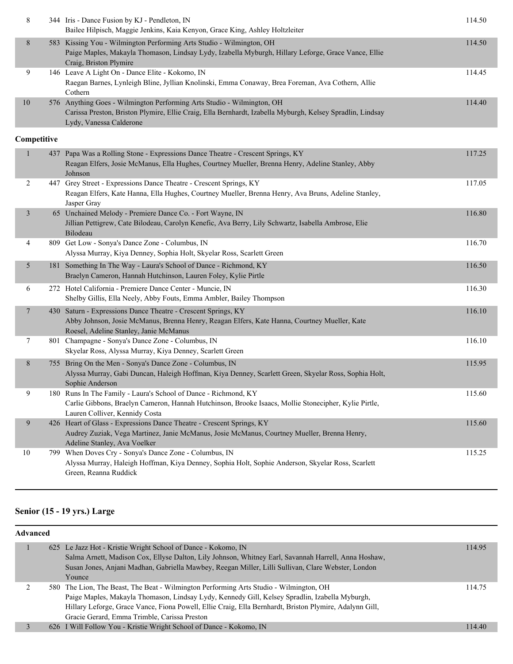| 8              | 344 Iris - Dance Fusion by KJ - Pendleton, IN<br>Bailee Hilpisch, Maggie Jenkins, Kaia Kenyon, Grace King, Ashley Holtzleiter                                                                                  | 114.50 |
|----------------|----------------------------------------------------------------------------------------------------------------------------------------------------------------------------------------------------------------|--------|
| $\,8$          | 583 Kissing You - Wilmington Performing Arts Studio - Wilmington, OH<br>Paige Maples, Makayla Thomason, Lindsay Lydy, Izabella Myburgh, Hillary Leforge, Grace Vance, Ellie<br>Craig, Briston Plymire          | 114.50 |
| 9              | 146 Leave A Light On - Dance Elite - Kokomo, IN<br>Raegan Barnes, Lynleigh Bline, Jyllian Knolinski, Emma Conaway, Brea Foreman, Ava Cothern, Allie<br>Cothern                                                 | 114.45 |
| 10             | 576 Anything Goes - Wilmington Performing Arts Studio - Wilmington, OH<br>Carissa Preston, Briston Plymire, Ellie Craig, Ella Bernhardt, Izabella Myburgh, Kelsey Spradlin, Lindsay<br>Lydy, Vanessa Calderone | 114.40 |
| Competitive    |                                                                                                                                                                                                                |        |
|                | 437 Papa Was a Rolling Stone - Expressions Dance Theatre - Crescent Springs, KY<br>Reagan Elfers, Josie McManus, Ella Hughes, Courtney Mueller, Brenna Henry, Adeline Stanley, Abby<br>Johnson                 | 117.25 |
| 2              | 447 Grey Street - Expressions Dance Theatre - Crescent Springs, KY<br>Reagan Elfers, Kate Hanna, Ella Hughes, Courtney Mueller, Brenna Henry, Ava Bruns, Adeline Stanley,<br>Jasper Gray                       | 117.05 |
| $\mathfrak{Z}$ | 65 Unchained Melody - Premiere Dance Co. - Fort Wayne, IN<br>Jillian Pettigrew, Cate Bilodeau, Carolyn Kenefic, Ava Berry, Lily Schwartz, Isabella Ambrose, Elie<br>Bilodeau                                   | 116.80 |
| 4              | 809 Get Low - Sonya's Dance Zone - Columbus, IN<br>Alyssa Murray, Kiya Denney, Sophia Holt, Skyelar Ross, Scarlett Green                                                                                       | 116.70 |
| 5              | 181 Something In The Way - Laura's School of Dance - Richmond, KY<br>Braelyn Cameron, Hannah Hutchinson, Lauren Foley, Kylie Pirtle                                                                            | 116.50 |
| 6              | 272 Hotel California - Premiere Dance Center - Muncie, IN<br>Shelby Gillis, Ella Neely, Abby Fouts, Emma Ambler, Bailey Thompson                                                                               | 116.30 |
| 7              | 430 Saturn - Expressions Dance Theatre - Crescent Springs, KY<br>Abby Johnson, Josie McManus, Brenna Henry, Reagan Elfers, Kate Hanna, Courtney Mueller, Kate<br>Roesel, Adeline Stanley, Janie McManus        | 116.10 |
| 7              | 801 Champagne - Sonya's Dance Zone - Columbus, IN<br>Skyelar Ross, Alyssa Murray, Kiya Denney, Scarlett Green                                                                                                  | 116.10 |
| 8              | 755 Bring On the Men - Sonya's Dance Zone - Columbus, IN<br>Alyssa Murray, Gabi Duncan, Haleigh Hoffman, Kiya Denney, Scarlett Green, Skyelar Ross, Sophia Holt,<br>Sophie Anderson                            | 115.95 |
| 9              | 180 Runs In The Family - Laura's School of Dance - Richmond, KY<br>Carlie Gibbons, Braelyn Cameron, Hannah Hutchinson, Brooke Isaacs, Mollie Stonecipher, Kylie Pirtle,<br>Lauren Colliver, Kennidy Costa      | 115.60 |
| 9              | 426 Heart of Glass - Expressions Dance Theatre - Crescent Springs, KY<br>Audrey Zuziak, Vega Martinez, Janie McManus, Josie McManus, Courtney Mueller, Brenna Henry,<br>Adeline Stanley, Ava Voelker           | 115.60 |
| 10             | 799 When Doves Cry - Sonya's Dance Zone - Columbus, IN<br>Alyssa Murray, Haleigh Hoffman, Kiya Denney, Sophia Holt, Sophie Anderson, Skyelar Ross, Scarlett<br>Green, Reanna Ruddick                           | 115.25 |

## **Senior (15 - 19 yrs.) Large**

| <b>Advanced</b> |  |                                                                                                                                                                                                                                                                                                                                                     |        |  |
|-----------------|--|-----------------------------------------------------------------------------------------------------------------------------------------------------------------------------------------------------------------------------------------------------------------------------------------------------------------------------------------------------|--------|--|
|                 |  | 625 Le Jazz Hot - Kristie Wright School of Dance - Kokomo, IN<br>Salma Arnett, Madison Cox, Ellyse Dalton, Lily Johnson, Whitney Earl, Savannah Harrell, Anna Hoshaw,<br>Susan Jones, Anjani Madhan, Gabriella Mawbey, Reegan Miller, Lilli Sullivan, Clare Webster, London<br>Younce                                                               | 114.95 |  |
|                 |  | 580 The Lion, The Beast, The Beat - Wilmington Performing Arts Studio - Wilmington, OH<br>Paige Maples, Makayla Thomason, Lindsay Lydy, Kennedy Gill, Kelsey Spradlin, Izabella Myburgh,<br>Hillary Leforge, Grace Vance, Fiona Powell, Ellie Craig, Ella Bernhardt, Briston Plymire, Adalynn Gill,<br>Gracie Gerard, Emma Trimble, Carissa Preston | 114.75 |  |
|                 |  | 626 I Will Follow You - Kristie Wright School of Dance - Kokomo, IN                                                                                                                                                                                                                                                                                 | 114.40 |  |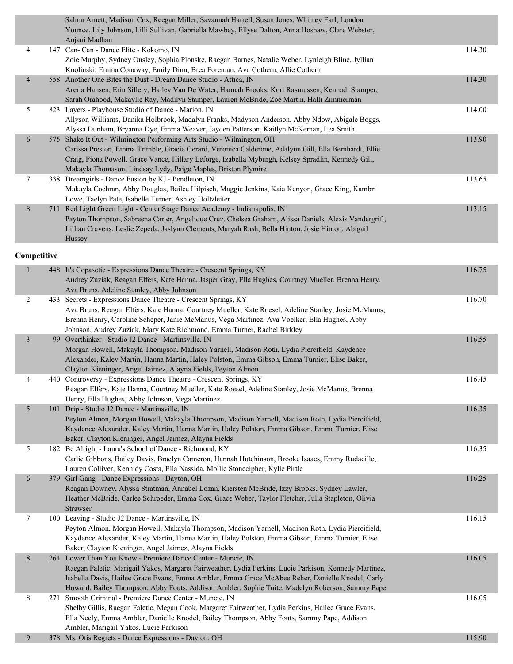|                | Salma Arnett, Madison Cox, Reegan Miller, Savannah Harrell, Susan Jones, Whitney Earl, London<br>Younce, Lily Johnson, Lilli Sullivan, Gabriella Mawbey, Ellyse Dalton, Anna Hoshaw, Clare Webster,<br>Anjani Madhan                                                                                                                                   |        |
|----------------|--------------------------------------------------------------------------------------------------------------------------------------------------------------------------------------------------------------------------------------------------------------------------------------------------------------------------------------------------------|--------|
| $\overline{4}$ | 147 Can- Can - Dance Elite - Kokomo, IN<br>Zoie Murphy, Sydney Ousley, Sophia Plonske, Raegan Barnes, Natalie Weber, Lynleigh Bline, Jyllian<br>Knolinski, Emma Conaway, Emily Dinn, Brea Foreman, Ava Cothern, Allie Cothern                                                                                                                          | 114.30 |
| $\overline{4}$ | 558 Another One Bites the Dust - Dream Dance Studio - Attica, IN<br>Areria Hansen, Erin Sillery, Hailey Van De Water, Hannah Brooks, Kori Rasmussen, Kennadi Stamper,<br>Sarah Orahood, Makaylie Ray, Madilyn Stamper, Lauren McBride, Zoe Martin, Halli Zimmerman                                                                                     | 114.30 |
| 5.             | 823 Layers - Playhouse Studio of Dance - Marion, IN<br>Allyson Williams, Danika Holbrook, Madalyn Franks, Madyson Anderson, Abby Ndow, Abigale Boggs,<br>Alyssa Dunham, Bryanna Dye, Emma Weaver, Jayden Patterson, Kaitlyn McKernan, Lea Smith                                                                                                        | 114.00 |
| 6              | 575 Shake It Out - Wilmington Performing Arts Studio - Wilmington, OH<br>Carissa Preston, Emma Trimble, Gracie Gerard, Veronica Calderone, Adalynn Gill, Ella Bernhardt, Ellie<br>Craig, Fiona Powell, Grace Vance, Hillary Leforge, Izabella Myburgh, Kelsey Spradlin, Kennedy Gill,<br>Makayla Thomason, Lindsay Lydy, Paige Maples, Briston Plymire | 113.90 |
| 7              | 338 Dreamgirls - Dance Fusion by KJ - Pendleton, IN<br>Makayla Cochran, Abby Douglas, Bailee Hilpisch, Maggie Jenkins, Kaia Kenyon, Grace King, Kambri<br>Lowe, Taelyn Pate, Isabelle Turner, Ashley Holtzleiter                                                                                                                                       | 113.65 |
| 8              | 711 Red Light Green Light - Center Stage Dance Academy - Indianapolis, IN<br>Payton Thompson, Sabreena Carter, Angelique Cruz, Chelsea Graham, Alissa Daniels, Alexis Vandergrift,<br>Lillian Cravens, Leslie Zepeda, Jaslynn Clements, Maryah Rash, Bella Hinton, Josie Hinton, Abigail<br><b>Hussey</b>                                              | 113.15 |

| $\mathbf{1}$   | 448 It's Copasetic - Expressions Dance Theatre - Crescent Springs, KY<br>Audrey Zuziak, Reagan Elfers, Kate Hanna, Jasper Gray, Ella Hughes, Courtney Mueller, Brenna Henry,                                                                                                                                                                                                                  | 116.75 |
|----------------|-----------------------------------------------------------------------------------------------------------------------------------------------------------------------------------------------------------------------------------------------------------------------------------------------------------------------------------------------------------------------------------------------|--------|
| $\overline{2}$ | Ava Bruns, Adeline Stanley, Abby Johnson<br>433 Secrets - Expressions Dance Theatre - Crescent Springs, KY<br>Ava Bruns, Reagan Elfers, Kate Hanna, Courtney Mueller, Kate Roesel, Adeline Stanley, Josie McManus,<br>Brenna Henry, Caroline Scheper, Janie McManus, Vega Martinez, Ava Voelker, Ella Hughes, Abby<br>Johnson, Audrey Zuziak, Mary Kate Richmond, Emma Turner, Rachel Birkley | 116.70 |
| $\mathfrak{Z}$ | 99 Overthinker - Studio J2 Dance - Martinsville, IN<br>Morgan Howell, Makayla Thompson, Madison Yarnell, Madison Roth, Lydia Piercifield, Kaydence<br>Alexander, Kaley Martin, Hanna Martin, Haley Polston, Emma Gibson, Emma Turnier, Elise Baker,<br>Clayton Kieninger, Angel Jaimez, Alayna Fields, Peyton Almon                                                                           | 116.55 |
| $\overline{4}$ | 440 Controversy - Expressions Dance Theatre - Crescent Springs, KY<br>Reagan Elfers, Kate Hanna, Courtney Mueller, Kate Roesel, Adeline Stanley, Josie McManus, Brenna<br>Henry, Ella Hughes, Abby Johnson, Vega Martinez                                                                                                                                                                     | 116.45 |
| 5              | 101 Drip - Studio J2 Dance - Martinsville, IN<br>Peyton Almon, Morgan Howell, Makayla Thompson, Madison Yarnell, Madison Roth, Lydia Piercifield,<br>Kaydence Alexander, Kaley Martin, Hanna Martin, Haley Polston, Emma Gibson, Emma Turnier, Elise<br>Baker, Clayton Kieninger, Angel Jaimez, Alayna Fields                                                                                 | 116.35 |
| 5              | 182 Be Alright - Laura's School of Dance - Richmond, KY<br>Carlie Gibbons, Bailey Davis, Braelyn Cameron, Hannah Hutchinson, Brooke Isaacs, Emmy Rudacille,<br>Lauren Colliver, Kennidy Costa, Ella Nassida, Mollie Stonecipher, Kylie Pirtle                                                                                                                                                 | 116.35 |
| 6              | 379 Girl Gang - Dance Expressions - Dayton, OH<br>Reagan Downey, Alyssa Stratman, Annabel Lozan, Kiersten McBride, Izzy Brooks, Sydney Lawler,<br>Heather McBride, Carlee Schroeder, Emma Cox, Grace Weber, Taylor Fletcher, Julia Stapleton, Olivia<br>Strawser                                                                                                                              | 116.25 |
| $\tau$         | 100 Leaving - Studio J2 Dance - Martinsville, IN<br>Peyton Almon, Morgan Howell, Makayla Thompson, Madison Yarnell, Madison Roth, Lydia Piercifield,<br>Kaydence Alexander, Kaley Martin, Hanna Martin, Haley Polston, Emma Gibson, Emma Turnier, Elise<br>Baker, Clayton Kieninger, Angel Jaimez, Alayna Fields                                                                              | 116.15 |
| $\,8$          | 264 Lower Than You Know - Premiere Dance Center - Muncie, IN<br>Raegan Faletic, Marigail Yakos, Margaret Fairweather, Lydia Perkins, Lucie Parkison, Kennedy Martinez,<br>Isabella Davis, Hailee Grace Evans, Emma Ambler, Emma Grace McAbee Reher, Danielle Knodel, Carly<br>Howard, Bailey Thompson, Abby Fouts, Addison Ambler, Sophie Tuite, Madelyn Roberson, Sammy Pape                 | 116.05 |
| 8              | 271 Smooth Criminal - Premiere Dance Center - Muncie, IN<br>Shelby Gillis, Raegan Faletic, Megan Cook, Margaret Fairweather, Lydia Perkins, Hailee Grace Evans,<br>Ella Neely, Emma Ambler, Danielle Knodel, Bailey Thompson, Abby Fouts, Sammy Pape, Addison<br>Ambler, Marigail Yakos, Lucie Parkison                                                                                       | 116.05 |
| 9              | 378 Ms. Otis Regrets - Dance Expressions - Dayton, OH                                                                                                                                                                                                                                                                                                                                         | 115.90 |